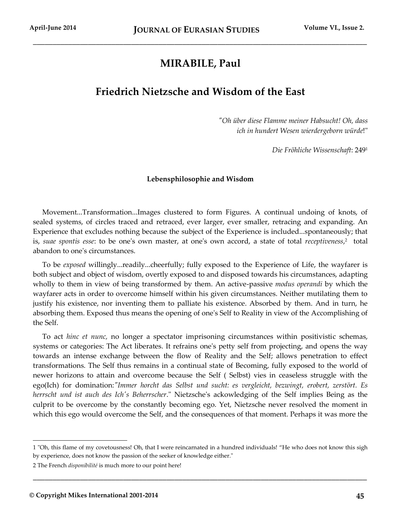# **MIRABILE, Paul**

\_\_\_\_\_\_\_\_\_\_\_\_\_\_\_\_\_\_\_\_\_\_\_\_\_\_\_\_\_\_\_\_\_\_\_\_\_\_\_\_\_\_\_\_\_\_\_\_\_\_\_\_\_\_\_\_\_\_\_\_\_\_\_\_\_\_\_\_\_\_\_\_\_\_\_\_\_\_\_\_\_\_\_\_\_

# **Friedrich Nietzsche and Wisdom of the East**

*"Oh über diese Flamme meiner Habsucht! Oh, dass ich in hundert Wesen wierdergeborn würde*!"

*Die Fröhliche Wissenschaft*: 249<sup>1</sup>

## **Lebensphilosophie and Wisdom**

Movement...Transformation...Images clustered to form Figures. A continual undoing of knots, of sealed systems, of circles traced and retraced, ever larger, ever smaller, retracing and expanding. An Experience that excludes nothing because the subject of the Experience is included...spontaneously; that is, *suae spontis esse*: to be one's own master, at one's own accord, a state of total *receptiveness*, 2 total abandon to one's circumstances.

To be *exposed* willingly...readily...cheerfully; fully exposed to the Experience of Life, the wayfarer is both subject and object of wisdom, overtly exposed to and disposed towards his circumstances, adapting wholly to them in view of being transformed by them. An active-passive *modus operandi* by which the wayfarer acts in order to overcome himself within his given circumstances. Neither mutilating them to justify his existence, nor inventing them to palliate his existence. Absorbed by them. And in turn, he absorbing them. Exposed thus means the opening of one's Self to Reality in view of the Accomplishing of the Self.

To act *hinc et nunc,* no longer a spectator imprisoning circumstances within positivistic schemas, systems or categories: The Act liberates. It refrains one's petty self from projecting, and opens the way towards an intense exchange between the flow of Reality and the Self; allows penetration to effect transformations. The Self thus remains in a continual state of Becoming, fully exposed to the world of newer horizons to attain and overcome because the Self ( Selbst) vies in ceaseless struggle with the ego(Ich) for domination:*"Immer horcht das Selbst und sucht: es vergleicht, bezwingt, erobert, zerstört. Es herrscht und ist auch des Ich's Beherrscher*." Nietzsche's ackowledging of the Self implies Being as the culprit to be overcome by the constantly becoming ego. Yet, Nietzsche never resolved the moment in which this ego would overcome the Self, and the consequences of that moment. Perhaps it was more the

**\_\_\_\_\_\_\_\_\_\_\_\_\_\_\_\_\_\_\_\_\_\_\_\_\_\_\_\_\_\_\_\_\_\_\_\_\_\_\_\_\_\_\_\_\_\_\_\_\_\_\_\_\_\_\_\_\_\_\_\_\_\_\_\_\_\_\_\_\_\_\_\_\_\_\_\_\_\_\_\_\_\_\_\_\_**

<sup>1</sup> "Oh, this flame of my covetousness! Oh, that I were reincarnated in a hundred individuals! "He who does not know this sigh by experience, does not know the passion of the seeker of knowledge either."

<sup>2</sup> The French *disponibilité* is much more to our point here!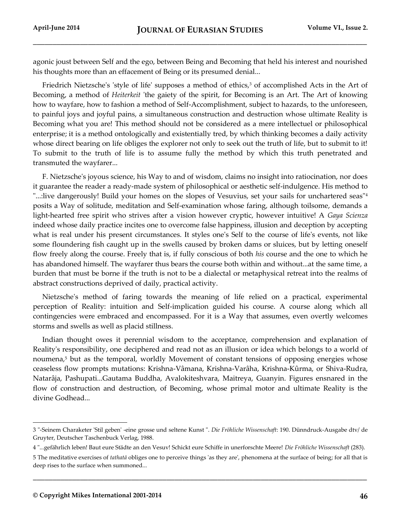agonic joust between Self and the ego, between Being and Becoming that held his interest and nourished his thoughts more than an effacement of Being or its presumed denial...

Friedrich Nietzsche's 'style of life' supposes a method of ethics,<sup>3</sup> of accomplished Acts in the Art of Becoming, a method of *Heiterkeit* 'the gaiety of the spirit, for Becoming is an Art. The Art of knowing how to wayfare, how to fashion a method of Self-Accomplishment, subject to hazards, to the unforeseen, to painful joys and joyful pains, a simultaneous construction and destruction whose ultimate Reality is Becoming what you are! This method should not be considered as a mere intellectuel or philosophical enterprise; it is a method ontologically and existentially tred, by which thinking becomes a daily activity whose direct bearing on life obliges the explorer not only to seek out the truth of life, but to submit to it! To submit to the truth of life is to assume fully the method by which this truth penetrated and transmuted the wayfarer...

F. Nietzsche's joyous science, his Way to and of wisdom, claims no insight into ratiocination, nor does it guarantee the reader a ready-made system of philosophical or aesthetic self-indulgence. His method to "...:live dangerously! Build your homes on the slopes of Vesuvius, set your sails for unchartered seas"<sup>4</sup> posits a Way of solitude, meditation and Self-examination whose faring, although toilsome, demands a light-hearted free spirit who strives after a vision however cryptic, however intuitive! A *Gaya Scienza* indeed whose daily practice incites one to overcome false happiness, illusion and deception by accepting what is real under his present circumstances. It styles one's Self to the course of life's events, not like some floundering fish caught up in the swells caused by broken dams or sluices, but by letting oneself flow freely along the course. Freely that is, if fully conscious of both *his* course and the one to which he has abandoned himself. The wayfarer thus bears the course both within and without...at the same time, a burden that must be borne if the truth is not to be a dialectal or metaphysical retreat into the realms of abstract constructions deprived of daily, practical activity.

Nietzsche's method of faring towards the meaning of life relied on a practical, experimental perception of Reality: intuition and Self-implication guided his course. A course along which all contingencies were embraced and encompassed. For it is a Way that assumes, even overtly welcomes storms and swells as well as placid stillness.

Indian thought owes it perennial wisdom to the acceptance, comprehension and explanation of Reality's responsibility, one deciphered and read not as an illusion or idea which belongs to a world of noumena,<sup>5</sup> but as the temporal, worldly Movement of constant tensions of opposing energies whose ceaseless flow prompts mutations: Krishna-Vâmana, Krishna-Varâha, Krishna-Kûrma, or Shiva-Rudra, Natarâja, Pashupati...Gautama Buddha, Avalokiteshvara, Maitreya, Guanyin. Figures ensnared in the flow of construction and destruction, of Becoming, whose primal motor and ultimate Reality is the divine Godhead...

**\_\_\_\_\_\_\_\_\_\_\_\_\_\_\_\_\_\_\_\_\_\_\_\_\_\_\_\_\_\_\_\_\_\_\_\_\_\_\_\_\_\_\_\_\_\_\_\_\_\_\_\_\_\_\_\_\_\_\_\_\_\_\_\_\_\_\_\_\_\_\_\_\_\_\_\_\_\_\_\_\_\_\_\_\_**

<sup>3</sup> "-Seinem Charaketer 'Stil geben' -eine grosse und seltene Kunst ". *Die Fröhliche Wissenschaft*: 190. Dünndruck-Ausgabe dtv/ de Gruyter, Deutscher Taschenbuck Verlag, 1988.

<sup>4</sup> "...gefährlich leben! Baut eure Städte an den Vesuv! Schickt eure Schiffe in unerforschte Meere! *Die Fröhliche Wissenschaft* (283).

<sup>5</sup> The meditative exercises of *tathatā* obliges one to perceive things 'as they are', phenomena at the surface of being; for all that is deep rises to the surface when summoned...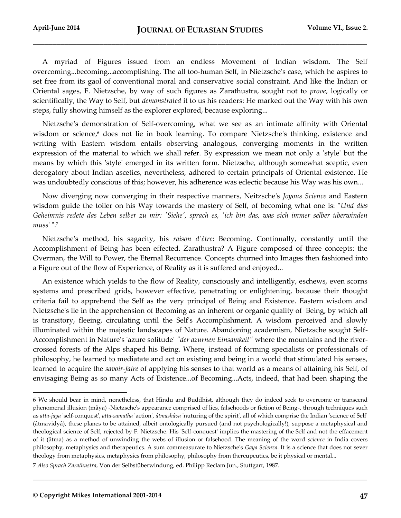A myriad of Figures issued from an endless Movement of Indian wisdom. The Self overcoming...becoming...accomplishing. The all too-human Self, in Nietzsche's case, which he aspires to set free from its gaol of conventional moral and conservative social constraint. And like the Indian or Oriental sages, F. Nietzsche, by way of such figures as Zarathustra, sought not to *prove*, logically or scientifically, the Way to Self, but *demonstrated* it to us his readers: He marked out the Way with his own steps, fully showing himself as the explorer explored, because exploring...

Nietzsche's demonstration of Self-overcoming, what we see as an intimate affinity with Oriental wisdom or science,<sup>6</sup> does not lie in book learning. To compare Nietzsche's thinking, existence and writing with Eastern wisdom entails observing analogous, converging moments in the written expression of the material to which we shall refer. By expression we mean not only a 'style' but the means by which this 'style' emerged in its written form. Nietzsche, although somewhat sceptic, even derogatory about Indian ascetics, nevertheless, adhered to certain principals of Oriental existence. He was undoubtedly conscious of this; however, his adherence was eclectic because his Way was his own...

Now diverging now converging in their respective manners, Neitzsche's *Joyous Science* and Eastern wisdom guide the toiler on his Way towards the mastery of Self, of becoming what one is: "*Und dies Geheimnis redete das Leben selber zu mir: 'Siehe', sprach es, 'ich bin das, was sich immer selber überwinden muss*' ".<sup>7</sup>

Nietzsche's method, his sagacity, his *raison d'être*: Becoming. Continually, constantly until the Accomplishment of Being has been effected. Zarathustra? A Figure composed of three concepts: the Overman, the Will to Power, the Eternal Recurrence. Concepts churned into Images then fashioned into a Figure out of the flow of Experience, of Reality as it is suffered and enjoyed...

An existence which yields to the flow of Reality, consciously and intelligently, eschews, even scorns systems and prescribed grids, however effective, penetrating or enlightening, because their thought criteria fail to apprehend the Self as the very principal of Being and Existence. Eastern wisdom and Nietzsche's lie in the apprehension of Becoming as an inherent or organic quality of Being, by which all is transitory, fleeing, circulating until the Self's Accomplishment. A wisdom perceived and slowly illuminated within the majestic landscapes of Nature. Abandoning academism, Nietzsche sought Self-Accomplishment in Nature's 'azure solitude' *"der azurnen Einsamkeit"* where the mountains and the rivercrossed forests of the Alps shaped his Being. Where, instead of forming specialists or professionals of philosophy, he learned to mediatate and act on existing and being in a world that stimulated his senses, learned to acquire the *savoir-faire* of applying his senses to that world as a means of attaining his Self, of envisaging Being as so many Acts of Existence...of Becoming...Acts, indeed, that had been shaping the

**\_\_\_\_\_\_\_\_\_\_\_\_\_\_\_\_\_\_\_\_\_\_\_\_\_\_\_\_\_\_\_\_\_\_\_\_\_\_\_\_\_\_\_\_\_\_\_\_\_\_\_\_\_\_\_\_\_\_\_\_\_\_\_\_\_\_\_\_\_\_\_\_\_\_\_\_\_\_\_\_\_\_\_\_\_**

<sup>6</sup> We should bear in mind, nonetheless, that Hindu and Buddhist, although they do indeed seek to overcome or transcend phenomenal illusion (mâya) -Nietzsche's appearance comprised of lies, falsehoods or fiction of Being-, through techniques such as *atta-jaya* 'self-conquest', *atta-samatha* 'action', *âtmashâva* 'nuturing of the spirit', all of which comprise the Indian 'science of Self' (âtmavidyâ), these planes to be attained, albeit ontologically pursued (and not psychologically!), suppose a metaphysical and theological science of Self, rejected by F. Nietzsche. His 'Self-conquest' implies the mastering of the Self and not the effacement of it (âtma) as a method of unwinding the webs of illusion or falsehood. The meaning of the word *science* in India covers philosophy, metaphysics and therapeutics. A sum commeasurate to Nietzsche's *Gaya Scienza*. It is a science that does not sever theology from metaphysics, metaphysics from philosophy, philosophy from thereupeutics, be it physical or mental...

<sup>7</sup> *Also Sprach Zarathustra*, Von der Selbstüberwindung, ed. Philipp Reclam Jun., Stuttgart, 1987.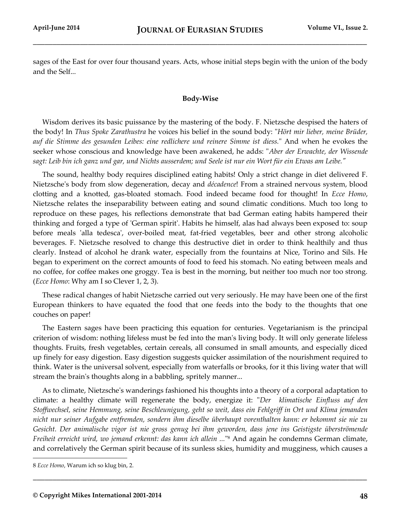sages of the East for over four thousand years. Acts, whose initial steps begin with the union of the body and the Self...

# **Body-Wise**

Wisdom derives its basic puissance by the mastering of the body. F. Nietzsche despised the haters of the body! In *Thus Spoke Zarathustra* he voices his belief in the sound body: "*Hört mir lieber, meine Brüder, auf die Stimme des gesunden Leibes: eine redlichere und reinere Simme ist diess.*" And when he evokes the seeker whose conscious and knowledge have been awakened, he adds: "*Aber der Erwachte, der Wissende sagt: Leib bin ich ganz und gar, und Nichts ausserdem; und Seele ist nur ein Wort für ein Etwas am Leibe."*

The sound, healthy body requires disciplined eating habits! Only a strict change in diet delivered F. Nietzsche's body from slow degeneration, decay and *décadence*! From a strained nervous system, blood clotting and a knotted, gas-bloated stomach. Food indeed became food for thought! In *Ecce Homo*, Nietzsche relates the inseparability between eating and sound climatic conditions. Much too long to reproduce on these pages, his reflections demonstrate that bad German eating habits hampered their thinking and forged a type of 'German spirit'. Habits he himself, alas had always been exposed to: soup before meals 'alla tedesca', over-boiled meat, fat-fried vegetables, beer and other strong alcoholic beverages. F. Nietzsche resolved to change this destructive diet in order to think healthily and thus clearly. Instead of alcohol he drank water, especially from the fountains at Nice, Torino and Sils. He began to experiment on the correct amounts of food to feed his stomach. No eating between meals and no coffee, for coffee makes one groggy. Tea is best in the morning, but neither too much nor too strong. (*Ecce Homo*: Why am I so Clever 1, 2, 3).

These radical changes of habit Nietzsche carried out very seriously. He may have been one of the first European thinkers to have equated the food that one feeds into the body to the thoughts that one couches on paper!

The Eastern sages have been practicing this equation for centuries. Vegetarianism is the principal criterion of wisdom: nothing lifeless must be fed into the man's living body. It will only generate lifeless thoughts. Fruits, fresh vegetables, certain cereals, all consumed in small amounts, and especially diced up finely for easy digestion. Easy digestion suggests quicker assimilation of the nourishment required to think. Water is the universal solvent, especially from waterfalls or brooks, for it this living water that will stream the brain's thoughts along in a babbling, spritely manner...

As to climate, Nietzsche's wanderings fashioned his thoughts into a theory of a corporal adaptation to climate: a healthy climate will regenerate the body, energize it: "*Der klimatische Einfluss auf den Stoffwechsel, seine Hemmung, seine Beschleunigung, geht so weit, dass ein Fehlgriff in Ort und Klima jemanden nicht nur seiner Aufgabe entfremden, sondern ihm dieselbe überhaupt vorenthalten kann: er bekommt sie nie zu Gesicht. Der animalische vigor ist nie gross genug bei ihm geworden, dass jene ins Geistigste überströmende*  Freiheit erreicht wird, wo jemand erkennt: das kann ich allein ..."<sup>8</sup> And again he condemns German climate, and correlatively the German spirit because of its sunless skies, humidity and mugginess, which causes a

**\_\_\_\_\_\_\_\_\_\_\_\_\_\_\_\_\_\_\_\_\_\_\_\_\_\_\_\_\_\_\_\_\_\_\_\_\_\_\_\_\_\_\_\_\_\_\_\_\_\_\_\_\_\_\_\_\_\_\_\_\_\_\_\_\_\_\_\_\_\_\_\_\_\_\_\_\_\_\_\_\_\_\_\_\_**

<sup>8</sup> *Ecce Homo*, Warum ich so klug bin, 2.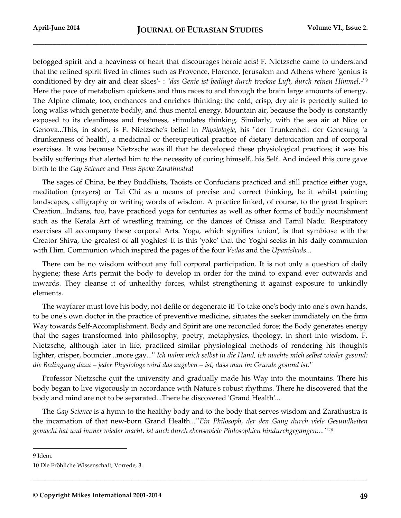befogged spirit and a heaviness of heart that discourages heroic acts! F. Nietzsche came to understand that the refined spirit lived in climes such as Provence, Florence, Jerusalem and Athens where 'genius is conditioned by dry air and clear skies'- : "*das Genie ist bedingt durch trockne Luft, durch reinen Himmel*,-" 9 Here the pace of metabolism quickens and thus races to and through the brain large amounts of energy. The Alpine climate, too, enchances and enriches thinking: the cold, crisp, dry air is perfectly suited to long walks which generate bodily, and thus mental energy. Mountain air, because the body is constantly exposed to its cleanliness and freshness, stimulates thinking. Similarly, with the sea air at Nice or Genova...This, in short, is F. Nietzsche's belief in *Physiologie*, his "der Trunkenheit der Genesung 'a drunkenness of health', a medicinal or thereupeutical practice of dietary detoxication and of corporal exercises. It was because Nietzsche was ill that he developed these physiological practices; it was his bodily sufferings that alerted him to the necessity of curing himself...his Self. And indeed this cure gave birth to the *Gay Science* and *Thus Spoke Zarathustra*!

The sages of China, be they Buddhists, Taoists or Confucians practiced and still practice either yoga, meditation (prayers) or Tai Chi as a means of precise and correct thinking, be it whilst painting landscapes, calligraphy or writing words of wisdom. A practice linked, of course, to the great Inspirer: Creation...Indians, too, have practiced yoga for centuries as well as other forms of bodily nourishment such as the Kerala Art of wrestling training, or the dances of Orissa and Tamil Nadu. Respiratory exercises all accompany these corporal Arts. Yoga, which signifies 'union', is that symbiose with the Creator Shiva, the greatest of all yoghies! It is this 'yoke' that the Yoghi seeks in his daily communion with Him. Communion which inspired the pages of the four *Vedas* and the *Upanishads*...

There can be no wisdom without any full corporal participation. It is not only a question of daily hygiene; these Arts permit the body to develop in order for the mind to expand ever outwards and inwards. They cleanse it of unhealthy forces, whilst strengthening it against exposure to unkindly elements.

The wayfarer must love his body, not defile or degenerate it! To take one's body into one's own hands, to be oneʹs own doctor in the practice of preventive medicine, situates the seeker immdiately on the fırm Way towards Self-Accomplishment. Body and Spirit are one reconciled force; the Body generates energy that the sages transformed into philosophy, poetry, metaphysics, theology, in short into wisdom. F. Nietzsche, although later in life, practiced similar physiological methods of rendering his thoughts lighter, crisper, bouncier...more gay...'' *Ich nahm mich selbst in die Hand, ich machte mich selbst wieder gesund: die Bedingung dazu – jeder Physiologe wird das zugeben – ist, dass man im Grunde gesund ist.*''

Professor Nietzsche quit the university and gradually made his Way into the mountains. There his body began to live vigorously in accordance with Nature's robust rhythms. There he discovered that the body and mind are not to be separated...There he discovered 'Grand Health'...

The *Gay Science* is a hymn to the healthy body and to the body that serves wisdom and Zarathustra is the incarnation of that new-born Grand Health...'*'Ein Philosoph, der den Gang durch viele Gesundheiten gemacht hat und immer wieder macht, ist auch durch ebensoviele Philosophien hindurchgegangen:...''<sup>10</sup>*

**\_\_\_\_\_\_\_\_\_\_\_\_\_\_\_\_\_\_\_\_\_\_\_\_\_\_\_\_\_\_\_\_\_\_\_\_\_\_\_\_\_\_\_\_\_\_\_\_\_\_\_\_\_\_\_\_\_\_\_\_\_\_\_\_\_\_\_\_\_\_\_\_\_\_\_\_\_\_\_\_\_\_\_\_\_**

9 Idem.

<sup>10</sup> Die Fröhliche Wissenschaft, Vorrede, 3.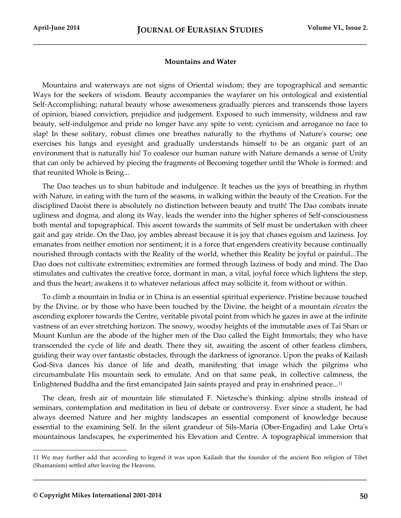## **Mountains and Water**

Mountains and waterways are not signs of Oriental wisdom; they are topographical and semantic Ways for the seekers of wisdom. Beauty accompanies the wayfarer on his ontological and existential Self-Accomplishing; natural beauty whose awesomeness gradually pierces and transcends those layers of opinion, biased conviction, prejudice and judgement. Exposed to such immensity, wildness and raw beauty, self-indulgence and pride no longer have any spite to vent; cynicism and arrogance no face to slap! In these solitary, robust climes one breathes naturally to the rhythms of Nature's course; one exercises his lungs and eyesight and gradually understands himself to be an organic part of an environment that is naturally his! To coalesce our human nature with Nature demands a sense of Unity that can only be achieved by piecing the fragments of Becoming together until the Whole is formed: and that reunited Whole is Being...

The Dao teaches us to shun habitude and indulgence. It teaches us the joys of breathing in rhythm with Nature, in eating with the turn of the seasons, in walking within the beauty of the Creation. For the disciplined Daoist there is absolutely no distinction between beauty and truth! The Dao combats innate ugliness and dogma, and along its Way, leads the wender into the higher spheres of Self-consciousness both mental and topographical. This ascent towards the summits of Self must be undertaken with cheer gait and gay stride. On the Dao, joy ambles abreast because it is joy that chases egoism and laziness. Joy emanates from neither emotion nor sentiment; it is a force that engenders creativity because continually nourished through contacts with the Reality of the world, whether this Reality be joyful or painful...The Dao does not cultivate extremities; extremities are formed through laziness of body and mind. The Dao stimulates and cultivates the creative force, dormant in man, a vital, joyful force which lightens the step, and thus the heart; awakens it to whatever nefarious affect may sollicite it, from without or within.

To climb a mountain in India or in China is an essential spiritual experience. Pristine because touched by the Divine, or by those who have been touched by the Divine, the height of a mountain *elevates* the ascending explorer towards the Centre, veritable pivotal point from which he gazes in awe at the infinite vastness of an ever stretching horizon. The snowy, woodsy heights of the immutable axes of Tai Shan or Mount Kunlun are the abode of the higher men of the Dao called the Eight Immortals; they who have transcended the cycle of life and death. There they sit, awaiting the ascent of other fearless climbers, guiding their way over fantastic obstacles, through the darkness of ignorance. Upon the peaks of Kailash God-Siva dances his dance of life and death, manifesting that image which the pilgrims who circumambulate His mountain seek to emulate. And on that same peak, in collective calmness, the Enlightened Buddha and the first emancipated Jain saints prayed and pray in enshrined peace...<sup>11</sup>

The clean, fresh air of mountain life stimulated F. Nietzsche's thinking: alpine strolls instead of seminars, contemplation and meditation in lieu of debate or controversy. Ever since a student, he had always deemed Nature and her mighty landscapes an essential component of knowledge because essential to the examining Self. In the silent grandeur of Sils-Maria (Ober-Engadin) and Lake Orta's mountainous landscapes, he experimented his Elevation and Centre. A topographical immersion that

**\_\_\_\_\_\_\_\_\_\_\_\_\_\_\_\_\_\_\_\_\_\_\_\_\_\_\_\_\_\_\_\_\_\_\_\_\_\_\_\_\_\_\_\_\_\_\_\_\_\_\_\_\_\_\_\_\_\_\_\_\_\_\_\_\_\_\_\_\_\_\_\_\_\_\_\_\_\_\_\_\_\_\_\_\_**

<sup>11</sup> We may further add that according to legend it was upon Kailash that the founder of the ancient Bon religion of Tibet (Shamanism) settled after leaving the Heavens.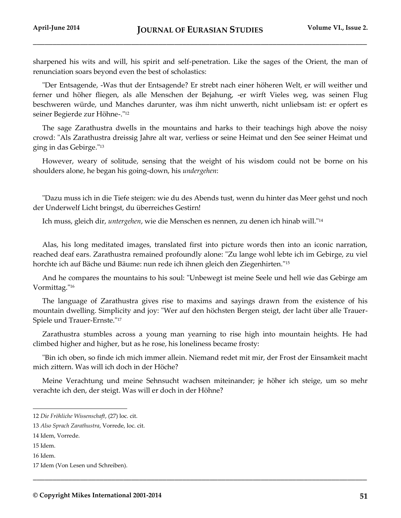sharpened his wits and will, his spirit and self-penetration. Like the sages of the Orient, the man of renunciation soars beyond even the best of scholastics:

"Der Entsagende, -Was thut der Entsagende? Er strebt nach einer höheren Welt, er will weither und ferner und höher fliegen, als alle Menschen der Bejahung, -er wirft Vieles weg, was seinen Flug beschweren würde, und Manches darunter, was ihm nicht unwerth, nicht unliebsam ist: er opfert es seiner Begierde zur Höhne-."<sup>12</sup>

The sage Zarathustra dwells in the mountains and harks to their teachings high above the noisy crowd: "Als Zarathustra dreissig Jahre alt war, verliess or seine Heimat und den See seiner Heimat und ging in das Gebirge."<sup>13</sup>

However, weary of solitude, sensing that the weight of his wisdom could not be borne on his shoulders alone, he began his going-down, his *undergehen*:

"Dazu muss ich in die Tiefe steigen: wie du des Abends tust, wenn du hinter das Meer gehst und noch der Underwelf Licht bringst, du überreiches Gestirn!

Ich muss, gleich dir, *untergehen*, wie die Menschen es nennen, zu denen ich hinab will."<sup>14</sup>

Alas, his long meditated images, translated first into picture words then into an iconic narration, reached deaf ears. Zarathustra remained profoundly alone: "Zu lange wohl lebte ich im Gebirge, zu viel horchte ich auf Bäche und Bäume: nun rede ich ihnen gleich den Ziegenhirten."<sup>15</sup>

And he compares the mountains to his soul: "Unbewegt ist meine Seele und hell wie das Gebirge am Vormittag."<sup>16</sup>

The language of Zarathustra gives rise to maxims and sayings drawn from the existence of his mountain dwelling. Simplicity and joy: "Wer auf den höchsten Bergen steigt, der lacht über alle Trauer-Spiele und Trauer-Ernste."<sup>17</sup>

Zarathustra stumbles across a young man yearning to rise high into mountain heights. He had climbed higher and higher, but as he rose, his loneliness became frosty:

"Bin ich oben, so finde ich mich immer allein. Niemand redet mit mir, der Frost der Einsamkeit macht mich zittern. Was will ich doch in der Höche?

Meine Verachtung und meine Sehnsucht wachsen miteinander; je höher ich steige, um so mehr verachte ich den, der steigt. Was will er doch in der Höhne?

**\_\_\_\_\_\_\_\_\_\_\_\_\_\_\_\_\_\_\_\_\_\_\_\_\_\_\_\_\_\_\_\_\_\_\_\_\_\_\_\_\_\_\_\_\_\_\_\_\_\_\_\_\_\_\_\_\_\_\_\_\_\_\_\_\_\_\_\_\_\_\_\_\_\_\_\_\_\_\_\_\_\_\_\_\_**

l

16 Idem.

<sup>12</sup> *Die Fröhliche Wissenschaft*, (27) loc. cit.

<sup>13</sup> *Also Sprach Zarathustra*, Vorrede, loc. cit.

<sup>14</sup> Idem, Vorrede.

<sup>15</sup> Idem.

<sup>17</sup> Idem (Von Lesen und Schreiben).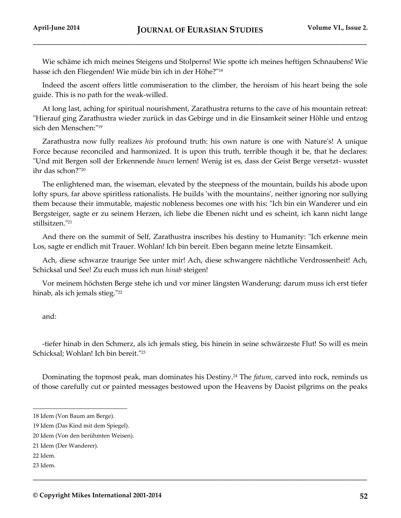Wie schäme ich mich meines Steigens und Stolperns! Wie spotte ich meines heftigen Schnaubens! Wie hasse ich den Fliegenden! Wie müde bin ich in der Höhe?"<sup>18</sup>

Indeed the ascent offers little commiseration to the climber, the heroism of his heart being the sole guide. This is no path for the weak-willed.

At long last, aching for spiritual nourishment, Zarathustra returns to the cave of his mountain retreat: "Hierauf ging Zarathustra wieder zurück in das Gebirge und in die Einsamkeit seiner Höhle und entzog sich den Menschen:"<sup>19</sup>

Zarathustra now fully realizes *his* profound truth: his own nature is one with Nature's! A unique Force because reconciled and harmonized. It is upon this truth, terrible though it be, that he declares: "Und mit Bergen soll der Erkennende *bauen* lernen! Wenig ist es, dass der Geist Berge versetzt- wusstet ihr das schon?"<sup>20</sup>

The enlightened man, the wiseman, elevated by the steepness of the mountain, builds his abode upon lofty spurs, far above spiritless rationalists. He builds 'with the mountains', neither ignoring nor sullying them because their immutable, majestic nobleness becomes one with his: "Ich bin ein Wanderer und ein Bergsteiger, sagte er zu seinem Herzen, ich liebe die Ebenen nicht und es scheint, ich kann nicht lange stillsitzen."<sup>21</sup>

And there on the summit of Self, Zarathustra inscribes his destiny to Humanity: "Ich erkenne mein Los, sagte er endlich mit Trauer. Wohlan! Ich bin bereit. Eben begann meine letzte Einsamkeit.

Ach, diese schwarze traurige See unter mir! Ach, diese schwangere nächtliche Verdrossenheit! Ach, Schicksal und See! Zu euch muss ich nun *hinab* steigen!

Vor meinem höchsten Berge stehe ich und vor miner längsten Wanderung: darum muss ich erst tiefer hinab, als ich jemals stieg."<sup>22</sup>

and:

-tiefer hinab in den Schmerz, als ich jemals stieg, bis hinein in seine schwärzeste Flut! So will es mein Schicksal; Wohlan! Ich bin bereit."<sup>23</sup>

Dominating the topmost peak, man dominates his Destiny.<sup>24</sup> The *fatum*, carved into rock, reminds us of those carefully cut or painted messages bestowed upon the Heavens by Daoist pilgrims on the peaks

**\_\_\_\_\_\_\_\_\_\_\_\_\_\_\_\_\_\_\_\_\_\_\_\_\_\_\_\_\_\_\_\_\_\_\_\_\_\_\_\_\_\_\_\_\_\_\_\_\_\_\_\_\_\_\_\_\_\_\_\_\_\_\_\_\_\_\_\_\_\_\_\_\_\_\_\_\_\_\_\_\_\_\_\_\_**

<sup>18</sup> Idem (Von Baum am Berge).

<sup>19</sup> Idem (Das Kind mit dem Spiegel).

<sup>20</sup> Idem (Von den berühmten Weisen).

<sup>21</sup> Idem (Der Wanderer).

<sup>22</sup> Idem.

<sup>23</sup> Idem.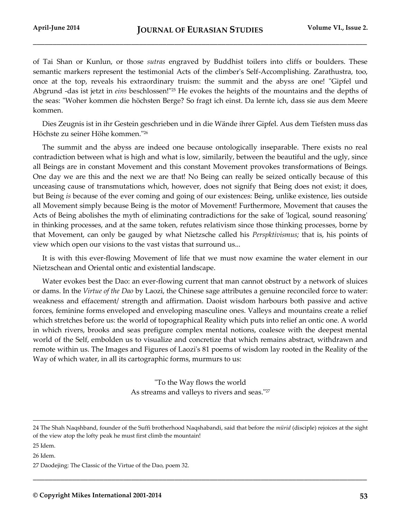of Tai Shan or Kunlun, or those *sutras* engraved by Buddhist toilers into cliffs or boulders. These semantic markers represent the testimonial Acts of the climber's Self-Accomplishing. Zarathustra, too, once at the top, reveals his extraordinary truism: the summit and the abyss are one! "Gipfel und Abgrund -das ist jetzt in *eins* beschlossen!"<sup>25</sup> He evokes the heights of the mountains and the depths of the seas: "Woher kommen die höchsten Berge? So fragt ich einst. Da lernte ich, dass sie aus dem Meere kommen.

Dies Zeugnis ist in ihr Gestein geschrieben und in die Wände ihrer Gipfel. Aus dem Tiefsten muss das Höchste zu seiner Höhe kommen."<sup>26</sup>

The summit and the abyss are indeed one because ontologically inseparable. There exists no real contradiction between what is high and what is low, similarily, between the beautiful and the ugly, since all Beings are in constant Movement and this constant Movement provokes transformations of Beings. One day we are this and the next we are that! No Being can really be seized ontically because of this unceasing cause of transmutations which, however, does not signify that Being does not exist; it does, but Being *is* because of the ever coming and going of our existences: Being, unlike existence, lies outside all Movement simply because Being is the motor of Movement! Furthermore, Movement that causes the Acts of Being abolishes the myth of eliminating contradictions for the sake of 'logical, sound reasoning' in thinking processes, and at the same token, refutes relativism since those thinking processes, borne by that Movement, can only be gauged by what Nietzsche called his *Perspktivismus;* that is, his points of view which open our visions to the vast vistas that surround us...

It is with this ever-flowing Movement of life that we must now examine the water element in our Nietzschean and Oriental ontic and existential landscape.

Water evokes best the Dao: an ever-flowing current that man cannot obstruct by a network of sluices or dams. In the *Virtue of the Dao* by Laozi, the Chinese sage attributes a genuine reconciled force to water: weakness and effacement/ strength and affirmation. Daoist wisdom harbours both passive and active forces, feminine forms enveloped and enveloping masculine ones. Valleys and mountains create a relief which stretches before us: the world of topographical Reality which puts into relief an ontic one. A world in which rivers, brooks and seas prefigure complex mental notions, coalesce with the deepest mental world of the Self, embolden us to visualize and concretize that which remains abstract, withdrawn and remote within us. The Images and Figures of Laozi's 81 poems of wisdom lay rooted in the Reality of the Way of which water, in all its cartographic forms, murmurs to us:

> "To the Way flows the world As streams and valleys to rivers and seas."27

**\_\_\_\_\_\_\_\_\_\_\_\_\_\_\_\_\_\_\_\_\_\_\_\_\_\_\_\_\_\_\_\_\_\_\_\_\_\_\_\_\_\_\_\_\_\_\_\_\_\_\_\_\_\_\_\_\_\_\_\_\_\_\_\_\_\_\_\_\_\_\_\_\_\_\_\_\_\_\_\_\_\_\_\_\_**

<sup>24</sup> The Shah Naqshband, founder of the Suffi brotherhood Naqshabandi, said that before the *mürid* (disciple) rejoices at the sight of the view atop the lofty peak he must first climb the mountain!

<sup>25</sup> Idem.

<sup>26</sup> Idem.

<sup>27</sup> Daodejing: The Classic of the Virtue of the Dao, poem 32.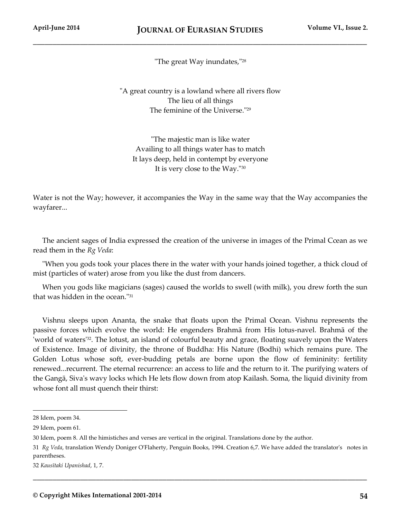"The great Way inundates,"<sup>28</sup>

"A great country is a lowland where all rivers flow The lieu of all things The feminine of the Universe."<sup>29</sup>

"The majestic man is like water Availing to all things water has to match It lays deep, held in contempt by everyone It is very close to the Way."<sup>30</sup>

Water is not the Way; however, it accompanies the Way in the same way that the Way accompanies the wayfarer...

The ancient sages of India expressed the creation of the universe in images of the Primal Ccean as we read them in the *Rg Veda*:

"When you gods took your places there in the water with your hands joined together, a thick cloud of mist (particles of water) arose from you like the dust from dancers.

When you gods like magicians (sages) caused the worlds to swell (with milk), you drew forth the sun that was hidden in the ocean."<sup>31</sup>

Vishnu sleeps upon Ananta, the snake that floats upon the Primal Ocean. Vishnu represents the passive forces which evolve the world: He engenders Brahmā from His lotus-navel. Brahmā of the 'world of waters'32. The lotust, an island of colourful beauty and grace, floating suavely upon the Waters of Existence. Image of divinity, the throne of Buddha: His Nature (Bodhi) which remains pure. The Golden Lotus whose soft, ever-budding petals are borne upon the flow of femininity: fertility renewed...recurrent. The eternal recurrence: an access to life and the return to it. The purifying waters of the Gangā, Sivaʹs wavy locks which He lets flow down from atop Kailash. Soma, the liquid divinity from whose font all must quench their thirst:

l

**\_\_\_\_\_\_\_\_\_\_\_\_\_\_\_\_\_\_\_\_\_\_\_\_\_\_\_\_\_\_\_\_\_\_\_\_\_\_\_\_\_\_\_\_\_\_\_\_\_\_\_\_\_\_\_\_\_\_\_\_\_\_\_\_\_\_\_\_\_\_\_\_\_\_\_\_\_\_\_\_\_\_\_\_\_**

32 *Kausītaki Upanishad*, 1, 7.

<sup>28</sup> Idem, poem 34.

<sup>29</sup> Idem, poem 61.

<sup>30</sup> Idem, poem 8. All the himistiches and verses are vertical in the original. Translations done by the author.

<sup>31</sup> *Rg Veda*, translation Wendy Doniger O'Flaherty, Penguin Books, 1994. Creation 6,7. We have added the translator's notes in parentheses.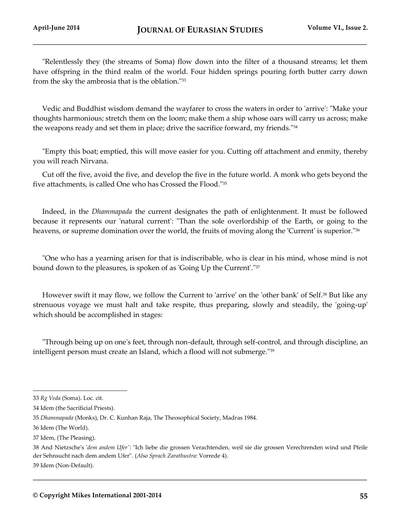"Relentlessly they (the streams of Soma) flow down into the filter of a thousand streams; let them have offspring in the third realm of the world. Four hidden springs pouring forth butter carry down from the sky the ambrosia that is the oblation."<sup>33</sup>

Vedic and Buddhist wisdom demand the wayfarer to cross the waters in order to 'arrive': "Make your thoughts harmonious; stretch them on the loom; make them a ship whose oars will carry us across; make the weapons ready and set them in place; drive the sacrifice forward, my friends."<sup>34</sup>

"Empty this boat; emptied, this will move easier for you. Cutting off attachment and enmity, thereby you will reach Nirvana.

Cut off the five, avoid the five, and develop the five in the future world. A monk who gets beyond the five attachments, is called One who has Crossed the Flood."<sup>35</sup>

Indeed, in the *Dhammapada* the current designates the path of enlightenment. It must be followed because it represents our 'natural current': "Than the sole overlordship of the Earth, or going to the heavens, or supreme domination over the world, the fruits of moving along the 'Current' is superior."<sup>36</sup>

"One who has a yearning arisen for that is indiscribable, who is clear in his mind, whose mind is not bound down to the pleasures, is spoken of as 'Going Up the Current'."<sup>37</sup>

However swift it may flow, we follow the Current to 'arrive' on the 'other bank' of Self.<sup>38</sup> But like any strenuous voyage we must halt and take respite, thus preparing, slowly and steadily, the 'going-up' which should be accomplished in stages:

"Through being up on one's feet, through non-default, through self-control, and through discipline, an intelligent person must create an Island, which a flood will not submerge."<sup>39</sup>

l

<sup>33</sup> *Rg Veda* (Soma). Loc. cit.

<sup>34</sup> Idem (the Sacrificial Priests).

<sup>35</sup> *Dhammapada* (Monks), Dr. C. Kunhan Raja, The Theosophical Society, Madras 1984.

<sup>36</sup> Idem (The World).

<sup>37</sup> Idem, (The Pleasing).

<sup>38</sup> And Nietzsche's '*dem andem Ufer'*: "Ich liebe die grossen Verachtenden, weil sie die grossen Verechrenden wind und Pfeile der Sehnsucht nach dem andem Ufer". (*Al*s*o Sprach Zarathustra*: Vorrede 4). 39 Idem (Non-Default).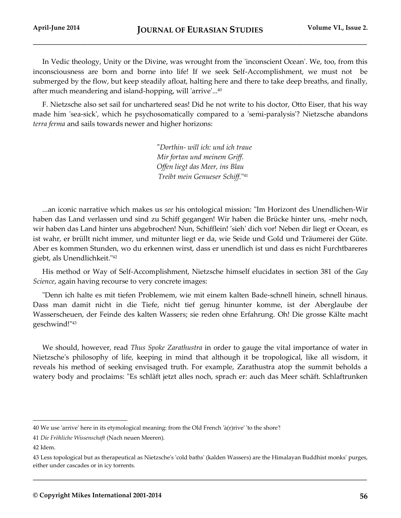In Vedic theology, Unity or the Divine, was wrought from the 'inconscient Ocean'. We, too, from this inconsciousness are born and borne into life! If we seek Self-Accomplishment, we must not be submerged by the flow, but keep steadily afloat, halting here and there to take deep breaths, and finally, after much meandering and island-hopping, will 'arrive'...<sup>40</sup>

F. Nietzsche also set sail for unchartered seas! Did he not write to his doctor, Otto Eiser, that his way made him 'sea-sick', which he psychosomatically compared to a 'semi-paralysis'? Nietzsche abandons *terra ferma* and sails towards newer and higher horizons:

> *"Dorthin- will ich: und ich traue Mir fortan und meinem Griff. Offen liegt das Meer, ins Blau Treibt mein Genueser Schiff.*" 41

...an iconic narrative which makes us *see* his ontological mission: "Im Horizont des Unendlichen-Wir haben das Land verlassen und sind zu Schiff gegangen! Wir haben die Brücke hinter uns, -mehr noch, wir haben das Land hinter uns abgebrochen! Nun, Schifflein! 'sieh' dich vor! Neben dir liegt er Ocean, es ist wahr, er brüllt nicht immer, und mitunter liegt er da, wie Seide und Gold und Träumerei der Güte. Aber es kommen Stunden, wo du erkennen wirst, dass er unendlich ist und dass es nicht Furchtbareres giebt, als Unendlichkeit."<sup>42</sup>

His method or Way of Self-Accomplishment, Nietzsche himself elucidates in section 381 of the *Gay Science*, again having recourse to very concrete images:

"Denn ich halte es mit tiefen Problemem, wie mit einem kalten Bade-schnell hinein, schnell hinaus. Dass man damit nicht in die Tiefe, nicht tief genug hinunter komme, ist der Aberglaube der Wasserscheuen, der Feinde des kalten Wassers; sie reden ohne Erfahrung. Oh! Die grosse Kälte macht geschwind!"<sup>43</sup>

We should, however, read *Thus Spoke Zarathustra* in order to gauge the vital importance of water in Nietzsche's philosophy of life, keeping in mind that although it be tropological, like all wisdom, it reveals his method of seeking envisaged truth. For example, Zarathustra atop the summit beholds a watery body and proclaims: "Es schläft jetzt alles noch, sprach er: auch das Meer schäft. Schlaftrunken

l

<sup>40</sup> We use 'arrive' here in its etymological meaning: from the Old French 'à(r)rive' 'to the shore'!

<sup>41</sup> *Die Fröhliche Wissenschaft* (Nach neuen Meeren).

<sup>42</sup> Idem.

<sup>43</sup> Less topological but as therapeutical as Nietzsche's 'cold baths' (kalden Wassers) are the Himalayan Buddhist monks' purges, either under cascades or in icy torrents.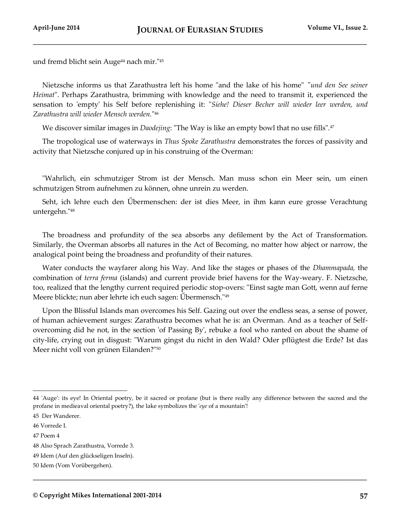und fremd blicht sein Auge<sup>44</sup> nach mir."<sup>45</sup>

Nietzsche informs us that Zarathustra left his home "and the lake of his home" *"und den See seiner Heimat*". Perhaps Zarathustra, brimming with knowledge and the need to transmit it, experienced the sensation to 'empty' his Self before replenishing it: "*Siehe! Dieser Becher will wieder leer werden, und Zarathustra will wieder Mensch werden.*" 46

We discover similar images in *Daodejing*: "The Way is like an empty bowl that no use fills".<sup>47</sup>

The tropological use of waterways in *Thus Spoke Zarathustra* demonstrates the forces of passivity and activity that Nietzsche conjured up in his construing of the Overman:

"Wahrlich, ein schmutziger Strom ist der Mensch. Man muss schon ein Meer sein, um einen schmutzigen Strom aufnehmen zu können, ohne unrein zu werden.

Seht, ich lehre euch den Űbermenschen: der ist dies Meer, in ihm kann eure grosse Verachtung untergehn."<sup>48</sup>

The broadness and profundity of the sea absorbs any defilement by the Act of Transformation. Similarly, the Overman absorbs all natures in the Act of Becoming, no matter how abject or narrow, the analogical point being the broadness and profundity of their natures.

Water conducts the wayfarer along his Way. And like the stages or phases of the *Dhammapada,* the combination of *terra ferma* (islands) and current provide brief havens for the Way-weary. F. Nietzsche, too, realized that the lengthy current required periodic stop-overs: "Einst sagte man Gott, wenn auf ferne Meere blickte; nun aber lehrte ich euch sagen: Űbermensch."<sup>49</sup>

Upon the Blissful Islands man overcomes his Self. Gazing out over the endless seas, a sense of power, of human achievement surges: Zarathustra becomes what he is: an Overman. And as a teacher of Selfovercoming did he not, in the section 'of Passing By', rebuke a fool who ranted on about the shame of city-life, crying out in disgust: "Warum gingst du nicht in den Wald? Oder pflügtest die Erde? Ist das Meer nicht voll von grünen Eilanden?"<sup>50</sup>

**\_\_\_\_\_\_\_\_\_\_\_\_\_\_\_\_\_\_\_\_\_\_\_\_\_\_\_\_\_\_\_\_\_\_\_\_\_\_\_\_\_\_\_\_\_\_\_\_\_\_\_\_\_\_\_\_\_\_\_\_\_\_\_\_\_\_\_\_\_\_\_\_\_\_\_\_\_\_\_\_\_\_\_\_\_**

<sup>44</sup> 'Auge': its eye! In Oriental poetry, be it sacred or profane (but is there really any difference between the sacred and the profane in medieaval oriental poetry?), the lake symbolizes the '*eye* of a mountain'!

<sup>45</sup> Der Wanderer.

<sup>46</sup> Vorrede I.

<sup>47</sup> Poem 4

<sup>48</sup> Also Sprach Zarathustra, Vorrede 3.

<sup>49</sup> Idem (Auf den glückseligen Inseln).

<sup>50</sup> Idem (Vom Vorübergehen).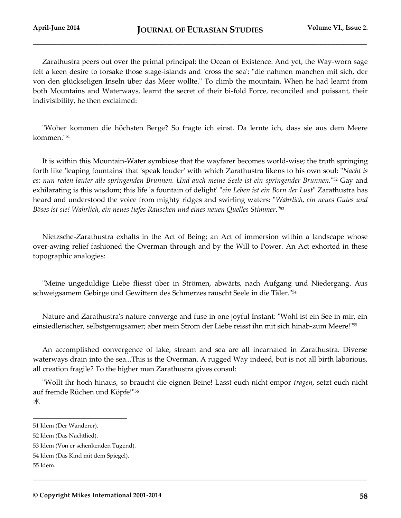Zarathustra peers out over the primal principal: the Ocean of Existence. And yet, the Way-worn sage felt a keen desire to forsake those stage-islands and 'cross the sea': "die nahmen manchen mit sich, der von den glückseligen Inseln über das Meer wollte." To climb the mountain. When he had learnt from both Mountains and Waterways, learnt the secret of their bi-fold Force, reconciled and puissant, their indivisibility, he then exclaimed:

"Woher kommen die höchsten Berge? So fragte ich einst. Da lernte ich, dass sie aus dem Meere kommen."<sup>51</sup>

It is within this Mountain-Water symbiose that the wayfarer becomes world-wise; the truth springing forth like 'leaping fountains' that 'speak louder' with which Zarathustra likens to his own soul: "*Nacht is es: nun reden lauter alle springenden Brunnen. Und auch meine Seele ist ein springender Brunnen.*" <sup>52</sup> Gay and exhilarating is this wisdom; this life 'a fountain of delight' "*ein Leben ist ein Born der Lust*" Zarathustra has heard and understood the voice from mighty ridges and swirling waters: "*Wahrlich, ein neues Gutes und Böses ist sie! Wahrlich, ein neues tiefes Rauschen und eines neuen Quelles Stimmer*."<sup>53</sup>

Nietzsche-Zarathustra exhalts in the Act of Being; an Act of immersion within a landscape whose over-awing relief fashioned the Overman through and by the Will to Power. An Act exhorted in these topographic analogies:

"Meine ungeduldige Liebe fliesst über in Strömen, abwärts, nach Aufgang und Niedergang. Aus schweigsamem Gebirge und Gewittern des Schmerzes rauscht Seele in die Täler."<sup>54</sup>

Nature and Zarathustra's nature converge and fuse in one joyful Instant: "Wohl ist ein See in mir, ein einsiedlerischer, selbstgenugsamer; aber mein Strom der Liebe reisst ihn mit sich hinab-zum Meere!"<sup>55</sup>

An accomplished convergence of lake, stream and sea are all incarnated in Zarathustra. Diverse waterways drain into the sea...This is the Overman. A rugged Way indeed, but is not all birth laborious, all creation fragile? To the higher man Zarathustra gives consul:

"Wollt ihr hoch hinaus, so braucht die eignen Beine! Lasst euch nicht empor *tragen*, setzt euch nicht auf fremde Rüchen und Köpfe!"<sup>56</sup> 水

**\_\_\_\_\_\_\_\_\_\_\_\_\_\_\_\_\_\_\_\_\_\_\_\_\_\_\_\_\_\_\_\_\_\_\_\_\_\_\_\_\_\_\_\_\_\_\_\_\_\_\_\_\_\_\_\_\_\_\_\_\_\_\_\_\_\_\_\_\_\_\_\_\_\_\_\_\_\_\_\_\_\_\_\_\_**

<sup>51</sup> Idem (Der Wanderer).

<sup>52</sup> Idem (Das Nachtlied).

<sup>53</sup> Idem (Von er schenkenden Tugend).

<sup>54</sup> Idem (Das Kind mit dem Spiegel).

<sup>55</sup> Idem.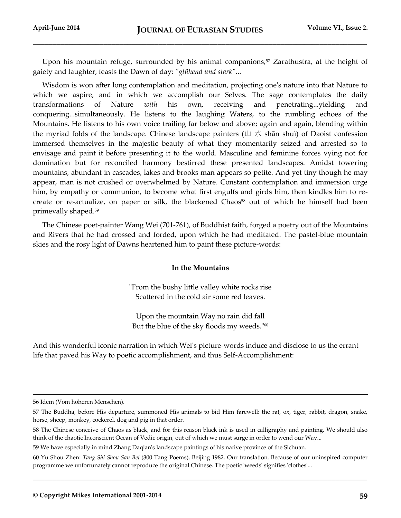Upon his mountain refuge, surrounded by his animal companions, $57$  Zarathustra, at the height of gaiety and laughter, feasts the Dawn of day: *"glühend und stark"*...

Wisdom is won after long contemplation and meditation, projecting one's nature into that Nature to which we aspire, and in which we accomplish our Selves. The sage contemplates the daily transformations of Nature *with* his own, receiving and penetrating...yielding and conquering...simultaneously. He listens to the laughing Waters, to the rumbling echoes of the Mountains. He listens to his own voice trailing far below and above; again and again, blending within the myriad folds of the landscape. Chinese landscape painters ( $\Box \pi$ )  $\Diamond$  shān shuì) of Daoist confession immersed themselves in the majestic beauty of what they momentarily seized and arrested so to envisage and paint it before presenting it to the world. Masculine and feminine forces vying not for domination but for reconciled harmony bestirred these presented landscapes. Amidst towering mountains, abundant in cascades, lakes and brooks man appears so petite. And yet tiny though he may appear, man is not crushed or overwhelmed by Nature. Constant contemplation and immersion urge him, by empathy or communion, to become what first engulfs and girds him, then kindles him to recreate or re-actualize, on paper or silk, the blackened Chaos<sup>58</sup> out of which he himself had been primevally shaped.<sup>59</sup>

The Chinese poet-painter Wang Wei (701-761), of Buddhist faith, forged a poetry out of the Mountains and Rivers that he had crossed and forded, upon which he had meditated. The pastel-blue mountain skies and the rosy light of Dawns heartened him to paint these picture-words:

## **In the Mountains**

"From the bushy little valley white rocks rise Scattered in the cold air some red leaves.

Upon the mountain Way no rain did fall But the blue of the sky floods my weeds."<sup>60</sup>

And this wonderful iconic narration in which Wei's picture-words induce and disclose to us the errant life that paved his Way to poetic accomplishment, and thus Self-Accomplishment:

l

<sup>56</sup> Idem (Vom höheren Menschen).

<sup>57</sup> The Buddha, before His departure, summoned His animals to bid Him farewell: the rat, ox, tiger, rabbit, dragon, snake, horse, sheep, monkey, cockerel, dog and pig in that order.

<sup>58</sup> The Chinese conceive of Chaos as black, and for this reason black ink is used in calligraphy and painting. We should also think of the chaotic Inconscient Ocean of Vedic origin, out of which we must surge in order to wend our Way...

<sup>59</sup> We have especially in mind Zhang Daqian's landscape paintings of his native province of the Sichuan.

<sup>60</sup> Yu Shou Zhen: *Tang Shi Shou San Bei* (300 Tang Poems), Beijing 1982. Our translation. Because of our uninspired computer programme we unfortunately cannot reproduce the original Chinese. The poetic 'weeds' signifies 'clothes'...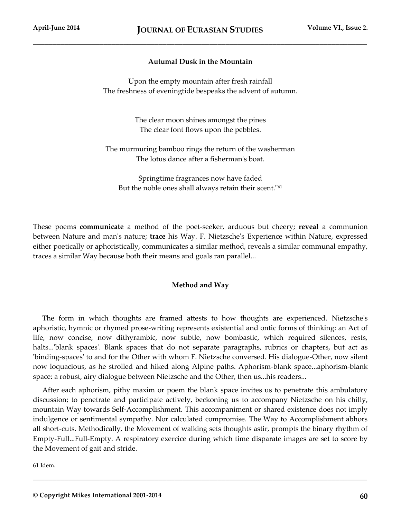# **Autumal Dusk in the Mountain**

Upon the empty mountain after fresh rainfall The freshness of eveningtide bespeaks the advent of autumn.

> The clear moon shines amongst the pines The clear font flows upon the pebbles.

The murmuring bamboo rings the return of the washerman The lotus dance after a fisherman's boat.

Springtime fragrances now have faded But the noble ones shall always retain their scent."<sup>61</sup>

These poems **communicate** a method of the poet-seeker, arduous but cheery; **reveal** a communion between Nature and man's nature; **trace** his Way. F. Nietzsche's Experience within Nature, expressed either poetically or aphoristically, communicates a similar method, reveals a similar communal empathy, traces a similar Way because both their means and goals ran parallel...

## **Method and Way**

The form in which thoughts are framed attests to how thoughts are experienced. Nietzsche's aphoristic, hymnic or rhymed prose-writing represents existential and ontic forms of thinking: an Act of life, now concise, now dithyrambic, now subtle, now bombastic, which required silences, rests, halts...'blank spaces'. Blank spaces that do not separate paragraphs, rubrics or chapters, but act as 'binding-spaces' to and for the Other with whom F. Nietzsche conversed. His dialogue-Other, now silent now loquacious, as he strolled and hiked along Alpine paths. Aphorism-blank space...aphorism-blank space: a robust, airy dialogue between Nietzsche and the Other, then us...his readers...

After each aphorism, pithy maxim or poem the blank space invites us to penetrate this ambulatory discussion; to penetrate and participate actively, beckoning us to accompany Nietzsche on his chilly, mountain Way towards Self-Accomplishment. This accompaniment or shared existence does not imply indulgence or sentimental sympathy. Nor calculated compromise. The Way to Accomplishment abhors all short-cuts. Methodically, the Movement of walking sets thoughts astir, prompts the binary rhythm of Empty-Full...Full-Empty. A respiratory exercice during which time disparate images are set to score by the Movement of gait and stride.

**\_\_\_\_\_\_\_\_\_\_\_\_\_\_\_\_\_\_\_\_\_\_\_\_\_\_\_\_\_\_\_\_\_\_\_\_\_\_\_\_\_\_\_\_\_\_\_\_\_\_\_\_\_\_\_\_\_\_\_\_\_\_\_\_\_\_\_\_\_\_\_\_\_\_\_\_\_\_\_\_\_\_\_\_\_**

61 Idem.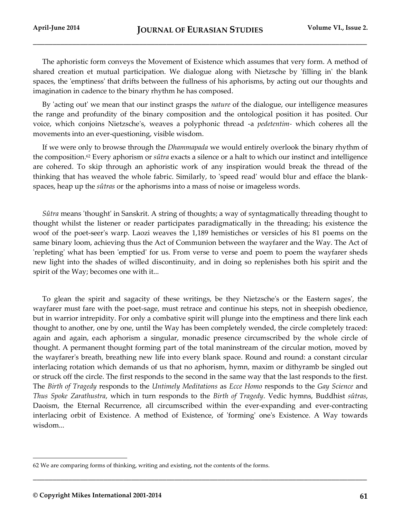The aphoristic form conveys the Movement of Existence which assumes that very form. A method of shared creation et mutual participation. We dialogue along with Nietzsche by 'filling in' the blank spaces, the 'emptiness' that drifts between the fullness of his aphorisms, by acting out our thoughts and imagination in cadence to the binary rhythm he has composed.

By 'acting out' we mean that our instinct grasps the *nature* of the dialogue, our intelligence measures the range and profundity of the binary composition and the ontological position it has posited. Our voice, which conjoins Nietzsche's, weaves a polyphonic thread -a *pedetentim-* which coheres all the movements into an ever-questioning, visible wisdom.

If we were only to browse through the *Dhammapada* we would entirely overlook the binary rhythm of the composition.<sup>62</sup> Every aphorism or *sûtra* exacts a silence or a halt to which our instinct and intelligence are cohered. To skip through an aphoristic work of any inspiration would break the thread of the thinking that has weaved the whole fabric. Similarly, to 'speed read' would blur and efface the blankspaces, heap up the *sûtras* or the aphorisms into a mass of noise or imageless words.

*Sûtra* means 'thought' in Sanskrit. A string of thoughts; a way of syntagmatically threading thought to thought whilst the listener or reader participates paradigmatically in the threading; his existence the woof of the poet-seer's warp. Laozi weaves the 1,189 hemistiches or versicles of his 81 poems on the same binary loom, achieving thus the Act of Communion between the wayfarer and the Way. The Act of 'repleting' what has been 'emptied' for us. From verse to verse and poem to poem the wayfarer sheds new light into the shades of willed discontinuity, and in doing so replenishes both his spirit and the spirit of the Way; becomes one with it...

To glean the spirit and sagacity of these writings, be they Nietzsche's or the Eastern sages', the wayfarer must fare with the poet-sage, must retrace and continue his steps, not in sheepish obedience, but in warrior intrepidity. For only a combative spirit will plunge into the emptiness and there link each thought to another, one by one, until the Way has been completely wended, the circle completely traced: again and again, each aphorism a singular, monadic presence circumscribed by the whole circle of thought. A permanent thought forming part of the total maninstream of the circular motion, moved by the wayfarer's breath, breathing new life into every blank space. Round and round: a constant circular interlacing rotation which demands of us that no aphorism, hymn, maxim or dithyramb be singled out or struck off the circle. The first responds to the second in the same way that the last responds to the first. The *Birth of Tragedy* responds to the *Untimely Meditations* as *Ecce Homo* responds to the *Gay Science* and *Thus Spoke Zarathustra*, which in turn responds to the *Birth of Tragedy*. Vedic hymns, Buddhist *sûtras*, Daoism, the Eternal Recurrence, all circumscribed within the ever-expanding and ever-contracting interlacing orbit of Existence. A method of Existence, of 'forming' one's Existence. A Way towards wisdom...

**\_\_\_\_\_\_\_\_\_\_\_\_\_\_\_\_\_\_\_\_\_\_\_\_\_\_\_\_\_\_\_\_\_\_\_\_\_\_\_\_\_\_\_\_\_\_\_\_\_\_\_\_\_\_\_\_\_\_\_\_\_\_\_\_\_\_\_\_\_\_\_\_\_\_\_\_\_\_\_\_\_\_\_\_\_**

<sup>62</sup> We are comparing forms of thinking, writing and existing, not the contents of the forms.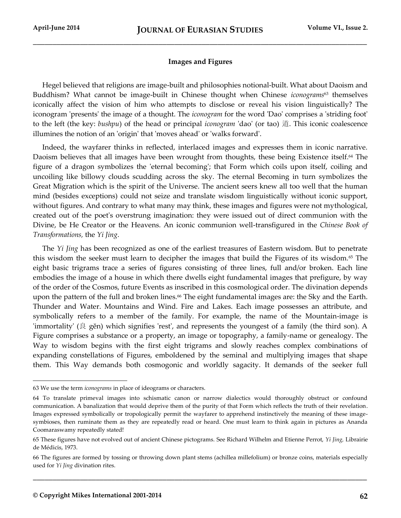## **Images and Figures**

Hegel believed that religions are image-built and philosophies notional-built. What about Daoism and Buddhism? What cannot be image-built in Chinese thought when Chinese *iconograms*<sup>63</sup> themselves iconically affect the vision of him who attempts to disclose or reveal his vision linguistically? The iconogram 'presents' the image of a thought. The *iconogram* for the word 'Dao' comprises a 'striding foot' to the left (the key: *bushpu*) of the head or principal *iconogram* 'dao' (or tao) 道. This iconic coalescence illumines the notion of an 'origin' that 'moves ahead' or 'walks forward'.

Indeed, the wayfarer thinks in reflected, interlaced images and expresses them in iconic narrative. Daoism believes that all images have been wrought from thoughts, these being Existence itself.<sup>64</sup> The figure of a dragon symbolizes the 'eternal becoming'; that Form which coils upon itself, coiling and uncoiling like billowy clouds scudding across the sky. The eternal Becoming in turn symbolizes the Great Migration which is the spirit of the Universe. The ancient seers knew all too well that the human mind (besides exceptions) could not seize and translate wisdom linguistically without iconic support, without figures. And contrary to what many may think, these images and figures were not mythological, created out of the poet's overstrung imagination: they were issued out of direct communion with the Divine, be He Creator or the Heavens. An iconic communion well-transfigured in the *Chinese Book of Transformations,* the *Yi Jing*.

The *Yi Jing* has been recognized as one of the earliest treasures of Eastern wisdom. But to penetrate this wisdom the seeker must learn to decipher the images that build the Figures of its wisdom.<sup>65</sup> The eight basic trigrams trace a series of figures consisting of three lines, full and/or broken. Each line embodies the image of a house in which there dwells eight fundamental images that prefigure, by way of the order of the Cosmos, future Events as inscribed in this cosmological order. The divination depends upon the pattern of the full and broken lines.<sup>66</sup> The eight fundamental images are: the Sky and the Earth. Thunder and Water. Mountains and Wind. Fire and Lakes. Each image possesses an attribute, and symbolically refers to a member of the family. For example, the name of the Mountain-image is 'immortality' ( $\dot{\mathbb{R}}$  gĕn) which signifies 'rest', and represents the youngest of a family (the third son). A Figure comprises a substance or a property, an image or topography, a family-name or genealogy. The Way to wisdom begins with the first eight trigrams and slowly reaches complex combinations of expanding constellations of Figures, emboldened by the seminal and multiplying images that shape them. This Way demands both cosmogonic and worldly sagacity. It demands of the seeker full

l

<sup>63</sup> We use the term *iconograms* in place of ideograms or characters.

<sup>64</sup> To translate primeval images into schismatic canon or narrow dialectics would thoroughly obstruct or confound communication. A banalization that would deprive them of the purity of that Form which reflects the truth of their revelation. Images expressed symbolically or tropologically permit the wayfarer to apprehend instinctively the meaning of these imagesymbioses, then ruminate them as they are repeatedly read or heard. One must learn to think again in pictures as Ananda Coomaraswamy repeatedly stated!

<sup>65</sup> These figures have not evolved out of ancient Chinese pictograms. See Richard Wilhelm and Etienne Perrot, *Yi Jing,* Librairie de Médicis, 1973.

<sup>66</sup> The figures are formed by tossing or throwing down plant stems (achillea millefolium) or bronze coins, materials especially used for *Yi Jing* divination rites.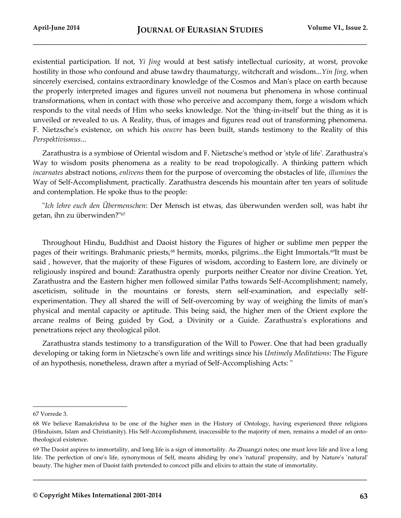existential participation. If not, *Yi Jing* would at best satisfy intellectual curiosity, at worst, provoke hostility in those who confound and abuse tawdry thaumaturgy, witchcraft and wisdom...*Yin Jing*, when sincerely exercised, contains extraordinary knowledge of the Cosmos and Man's place on earth because the properly interpreted images and figures unveil not noumena but phenomena in whose continual transformations, when in contact with those who perceive and accompany them, forge a wisdom which responds to the vital needs of Him who seeks knowledge. Not the 'thing-in-itself' but the thing as it is unveiled or revealed to us. A Reality, thus, of images and figures read out of transforming phenomena. F. Nietzsche's existence, on which his *oeuvre* has been built, stands testimony to the Reality of this *Perspektivismus*...

Zarathustra is a symbiose of Oriental wisdom and F. Nietzsche's method or 'style of life'. Zarathustra's Way to wisdom posits phenomena as a reality to be read tropologically. A thinking pattern which *incarnates* abstract notions, *enlivens* them for the purpose of overcoming the obstacles of life, *illumines* the Way of Self-Accomplishment, practically. Zarathustra descends his mountain after ten years of solitude and contemplation. He spoke thus to the people:

"*Ich lehre euch den Übermenschen*: Der Mensch ist etwas, das überwunden werden soll, was habt ihr getan, ihn zu überwinden?"<sup>67</sup>

Throughout Hindu, Buddhist and Daoist history the Figures of higher or sublime men pepper the pages of their writings. Brahmanic priests,<sup>68</sup> hermits, monks, pilgrims...the Eight Immortals.<sup>69</sup>It must be said , however, that the majority of these Figures of wisdom, according to Eastern lore, are divinely or religiously inspired and bound: Zarathustra openly purports neither Creator nor divine Creation. Yet, Zarathustra and the Eastern higher men followed similar Paths towards Self-Accomplishment; namely, asceticism, solitude in the mountains or forests, stern self-examination, and especially selfexperimentation. They all shared the will of Self-overcoming by way of weighing the limits of man's physical and mental capacity or aptitude. This being said, the higher men of the Orient explore the arcane realms of Being guided by God, a Divinity or a Guide. Zarathustra's explorations and penetrations reject any theological pilot.

Zarathustra stands testimony to a transfiguration of the Will to Power. One that had been gradually developing or taking form in Nietzsche's own life and writings since his *Untimely Meditations*: The Figure of an hypothesis, nonetheless, drawn after a myriad of Self-Accomplishing Acts: "

l

<sup>67</sup> Vorrede 3.

<sup>68</sup> We believe Ramakrishna to be one of the higher men in the History of Ontology, having experienced three religions (Hinduism, Islam and Christianity). His Self-Accomplishment, inaccessible to the majority of men, remains a model of an ontotheological existence.

<sup>69</sup> The Daoist aspires to immortality, and long life is a sign of immortality. As Zhuangzi notes; one must love life and live a long life. The perfection of one's life, synonymous of Self, means abiding by one's 'natural' propensity, and by Nature's 'natural' beauty. The higher men of Daoist faith pretended to concoct pills and elixirs to attain the state of immortality.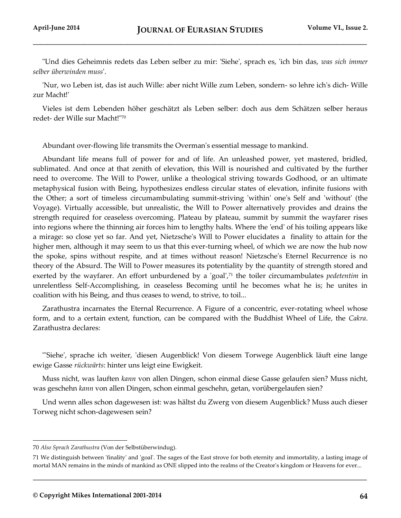"Und dies Geheimnis redets das Leben selber zu mir: 'Siehe', sprach es, 'ich bin das, *was sich immer selber überwinden muss*'.

'Nur, wo Leben ist, das ist auch Wille: aber nicht Wille zum Leben, sondern- so lehre ich's dich- Wille zur Macht!'

Vieles ist dem Lebenden höher geschätzt als Leben selber: doch aus dem Schätzen selber heraus redet- der Wille sur Macht!"<sup>70</sup>

Abundant over-flowing life transmits the Overman's essential message to mankind.

Abundant life means full of power for and of life. An unleashed power, yet mastered, bridled, sublimated. And once at that zenith of elevation, this Will is nourished and cultivated by the further need to overcome. The Will to Power, unlike a theological striving towards Godhood, or an ultimate metaphysical fusion with Being, hypothesizes endless circular states of elevation, infinite fusions with the Other; a sort of timeless circumambulating summit-striving 'within' one's Self and 'without' (the Voyage). Virtually accessible, but unrealistic, the Will to Power alternatively provides and drains the strength required for ceaseless overcoming. Plateau by plateau, summit by summit the wayfarer rises into regions where the thinning air forces him to lengthy halts. Where the 'end' of his toiling appears like a mirage: so close yet so far. And yet, Nietzsche's Will to Power elucidates a finality to attain for the higher men, although it may seem to us that this ever-turning wheel, of which we are now the hub now the spoke, spins without respite, and at times without reason! Nietzsche's Eternel Recurrence is no theory of the Absurd. The Will to Power measures its potentiality by the quantity of strength stored and exerted by the wayfarer. An effort unburdened by a 'goal',<sup>71</sup> the toiler circumambulates *pedetentim* in unrelentless Self-Accomplishing, in ceaseless Becoming until he becomes what he is; he unites in coalition with his Being, and thus ceases to wend, to strive, to toil...

Zarathustra incarnates the Eternal Recurrence. A Figure of a concentric, ever-rotating wheel whose form, and to a certain extent, function, can be compared with the Buddhist Wheel of Life, the *Cakra*. Zarathustra declares:

"'Siehe', sprache ich weiter, 'diesen Augenblick! Von diesem Torwege Augenblick läuft eine lange ewige Gasse *rückwärts*: hinter uns leigt eine Ewigkeit.

Muss nicht, was lauften *kann* von allen Dingen, schon einmal diese Gasse gelaufen sien? Muss nicht, was geschehn *kann* von allen Dingen, schon einmal geschehn, getan, vorübergelaufen sien?

Und wenn alles schon dagewesen ist: was hältst du Zwerg von diesem Augenblick? Muss auch dieser Torweg nicht schon-dagewesen sein?

l

<sup>70</sup> *Also Sprach Zarathustra* (Von der Selbstüberwindug).

<sup>71</sup> We distinguish between 'finality' and 'goal'. The sages of the East strove for both eternity and immortality, a lasting image of mortal MAN remains in the minds of mankind as ONE slipped into the realms of the Creator's kingdom or Heavens for ever...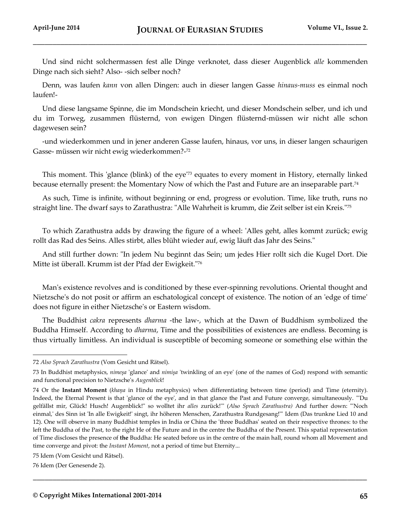Und sind nicht solchermassen fest alle Dinge verknotet, dass dieser Augenblick *alle* kommenden Dinge nach sich sieht? Also- -sich selber noch?

Denn, was laufen *kann* von allen Dingen: auch in dieser langen Gasse *hinaus-muss* es einmal noch laufen!-

Und diese langsame Spinne, die im Mondschein kriecht, und dieser Mondschein selber, und ich und du im Torweg, zusammen flüsternd, von ewigen Dingen flüsternd-müssen wir nicht alle schon dagewesen sein?

-und wiederkommen und in jener anderen Gasse laufen, hinaus, vor uns, in dieser langen schaurigen Gasse- müssen wir nicht ewig wiederkommen?- 72

This moment. This 'glance (blink) of the eye'<sup>73</sup> equates to every moment in History, eternally linked because eternally present: the Momentary Now of which the Past and Future are an inseparable part.<sup>74</sup>

As such, Time is infinite, without beginning or end, progress or evolution. Time, like truth, runs no straight line. The dwarf says to Zarathustra: "Alle Wahrheit is krumm, die Zeit selber ist ein Kreis."<sup>75</sup>

To which Zarathustra adds by drawing the figure of a wheel: 'Alles geht, alles kommt zurück; ewig rollt das Rad des Seins. Alles stirbt, alles blüht wieder auf, ewig läuft das Jahr des Seins."

And still further down: "In jedem Nu beginnt das Sein; um jedes Hier rollt sich die Kugel Dort. Die Mitte ist überall. Krumm ist der Pfad der Ewigkeit."<sup>76</sup>

Man's existence revolves and is conditioned by these ever-spinning revolutions. Oriental thought and Nietzsche's do not posit or affirm an eschatological concept of existence. The notion of an 'edge of time' does not figure in either Nietzsche's or Eastern wisdom.

The Buddhist *cakra* represents *dharma* -the law-, which at the Dawn of Buddhism symbolized the Buddha Himself. According to *dharma*, Time and the possibilities of existences are endless. Becoming is thus virtually limitless. An individual is susceptible of becoming someone or something else within the

**\_\_\_\_\_\_\_\_\_\_\_\_\_\_\_\_\_\_\_\_\_\_\_\_\_\_\_\_\_\_\_\_\_\_\_\_\_\_\_\_\_\_\_\_\_\_\_\_\_\_\_\_\_\_\_\_\_\_\_\_\_\_\_\_\_\_\_\_\_\_\_\_\_\_\_\_\_\_\_\_\_\_\_\_\_**

<sup>72</sup> *Also Sprach Zarathustra* (Vom Gesicht und Rätsel).

<sup>73</sup> In Buddhist metaphysics, *nimeşa* 'glance' and *nimişa* 'twinkling of an eye' (one of the names of God) respond with semantic and functional precision to Nietzsche's *Augenblick*!

<sup>74</sup> Or the **Instant Moment** (*khaņa* in Hindu metaphysics) when differentiating between time (period) and Time (eternity). Indeed, the Eternal Present is that 'glance of the eye', and in that glance the Past and Future converge, simultaneously. "'Du gelfällst mir, Glück! Husch! Augenblick!" so wolltet ihr *alles* zurück!'" (*Al*s*o Sprach Zarathustra)* And further down: "'Noch einmal,' des Sinn ist 'In alle Ewigkeit!' singt, ihr höheren Menschen, Zarathustra Rundgesang!'" Idem (Das trunkne Lied 10 and 12). One will observe in many Buddhist temples in India or China the 'three Buddhas' seated on their respective thrones: to the left the Buddha of the Past, to the right He of the Future and in the centre the Buddha of the Present. This spatial representation of Time discloses the presence of **the** Buddha: He seated before us in the centre of the main hall, round whom all Movement and time converge and pivot: the *Instant Moment*, not a period of time but Eternity...

<sup>75</sup> Idem (Vom Gesicht und Rätsel).

<sup>76</sup> Idem (Der Genesende 2).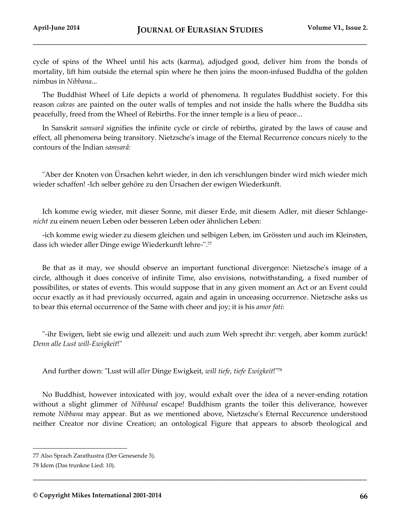cycle of spins of the Wheel until his acts (karma), adjudged good, deliver him from the bonds of mortality, lift him outside the eternal spin where he then joins the moon-infused Buddha of the golden nimbus in *Nibbana*...

The Buddhist Wheel of Life depicts a world of phenomena. It regulates Buddhist society. For this reason *cakras* are painted on the outer walls of temples and not inside the halls where the Buddha sits peacefully, freed from the Wheel of Rebirths. For the inner temple is a lieu of peace...

In Sanskrit *samsarâ* signifies the infinite cycle or circle of rebirths, girated by the laws of cause and effect, all phenomena being transitory. Nietzsche's image of the Eternal Recurrence concurs nicely to the contours of the Indian *samsarâ:*

"Aber der Knoten von Ürsachen kehrt wieder, in den ich verschlungen binder wird mich wieder mich wieder schaffen! -Ich selber gehöre zu den Ürsachen der ewigen Wiederkunft.

Ich komme ewig wieder, mit dieser Sonne, mit dieser Erde, mit diesem Adler, mit dieser Schlange*nicht* zu einem neuen Leben oder besseren Leben oder ähnlichen Leben:

-ich komme ewig wieder zu diesem gleichen und selbigen Leben, im Grössten und auch im Kleinsten, dass ich wieder aller Dinge ewige Wiederkunft lehre-".<sup>77</sup>

Be that as it may, we should observe an important functional divergence: Nietzsche's image of a circle, although it does conceive of infinite Time, also envisions, notwithstanding, a fixed number of possibilites, or states of events. This would suppose that in any given moment an Act or an Event could occur exactly as it had previously occurred, again and again in unceasing occurrence. Nietzsche asks us to bear this eternal occurrence of the Same with cheer and joy; it is his *amor fati*:

"-ihr Ewigen, liebt sie ewig und allezeit: und auch zum Weh sprecht ihr: vergeh, aber komm zurück! *Denn alle Lust will-Ewigkeit*!"

And further down: "Lust will *aller* Dinge Ewigkeit, *will tiefe, tiefe Ewigkeit*!"<sup>78</sup>

No Buddhist, however intoxicated with joy, would exhalt over the idea of a never-ending rotation without a slight glimmer of *Nibbanal* escape! Buddhism grants the toiler this deliverance, however remote *Nibbana* may appear. But as we mentioned above, Nietzsche's Eternal Reccurence understood neither Creator nor divine Creation; an ontological Figure that appears to absorb theological and

**\_\_\_\_\_\_\_\_\_\_\_\_\_\_\_\_\_\_\_\_\_\_\_\_\_\_\_\_\_\_\_\_\_\_\_\_\_\_\_\_\_\_\_\_\_\_\_\_\_\_\_\_\_\_\_\_\_\_\_\_\_\_\_\_\_\_\_\_\_\_\_\_\_\_\_\_\_\_\_\_\_\_\_\_\_**

<sup>77</sup> Also Sprach Zarathustra (Der Genesende 3).

<sup>78</sup> Idem (Das trunkne Lied: 10).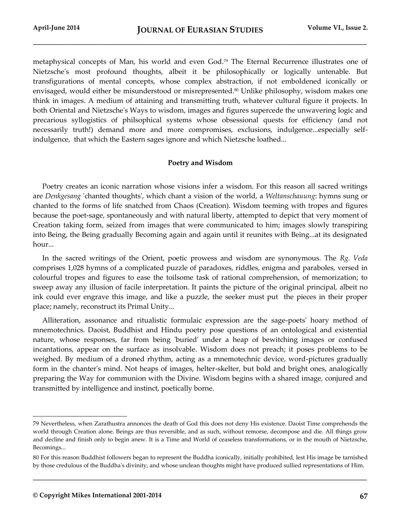metaphysical concepts of Man, his world and even God.<sup>79</sup> The Eternal Recurrence illustrates one of Nietzsche's most profound thoughts, albeit it be philosophically or logically untenable. But transfigurations of mental concepts, whose complex abstraction, if not emboldened iconically or envisaged, would either be misunderstood or misrepresented.<sup>80</sup> Unlike philosophy, wisdom makes one think in images. A medium of attaining and transmitting truth, whatever cultural figure it projects. In both Oriental and Nietzsche's Ways to wisdom, images and figures supercede the unwavering logic and precarious syllogistics of philsophical systems whose obsessional quests for efficiency (and not necessarily truth!) demand more and more compromises, exclusions, indulgence...especially selfindulgence, that which the Eastern sages ignore and which Nietzsche loathed...

# **Poetry and Wisdom**

Poetry creates an iconic narration whose visions infer a wisdom. For this reason all sacred writings are *Denkgesang* 'chanted thoughts', which chant a vision of the world, a *Weltanschauung*: hymns sung or chanted to the forms of life snatched from Chaos (Creation). Wisdom teeming with tropes and figures because the poet-sage, spontaneously and with natural liberty, attempted to depict that very moment of Creation taking form, seized from images that were communicated to him; images slowly transpiring into Being, the Being gradually Becoming again and again until it reunites with Being...at its designated hour...

In the sacred writings of the Orient, poetic prowess and wisdom are synonymous. The *Rg. Veda* comprises 1,028 hymns of a complicated puzzle of paradoxes, riddles, enigma and paraboles, versed in colourful tropes and figures to ease the toilsome task of rational comprehension, of memorization; to sweep away any illusion of facile interpretation. It paints the picture of the original principal, albeit no ink could ever engrave this image, and like a puzzle, the seeker must put the pieces in their proper place; namely, reconstruct its Primal Unity...

Alliteration, assonance and ritualistic formulaic expression are the sage-poets' hoary method of mnemotechnics. Daoist, Buddhist and Hindu poetry pose questions of an ontological and existential nature, whose responses, far from being 'buried' under a heap of bewitching images or confused incantations, appear on the surface as insolvable. Wisdom does not preach; it poses problems to be weighed. By medium of a droned rhythm, acting as a mnemotechnic device, word-pictures gradually form in the chanter's mind. Not heaps of images, helter-skelter, but bold and bright ones, analogically preparing the Way for communion with the Divine. Wisdom begins with a shared image, conjured and transmitted by intelligence and instinct, poetically borne.

**\_\_\_\_\_\_\_\_\_\_\_\_\_\_\_\_\_\_\_\_\_\_\_\_\_\_\_\_\_\_\_\_\_\_\_\_\_\_\_\_\_\_\_\_\_\_\_\_\_\_\_\_\_\_\_\_\_\_\_\_\_\_\_\_\_\_\_\_\_\_\_\_\_\_\_\_\_\_\_\_\_\_\_\_\_**

<sup>79</sup> Nevertheless, when Zarathustra annonces the death of God this does not deny His existence. Daoist Time comprehends the world through Creation alone. Beings are thus reversible, and as such, without remorse, decompose and die. All things grow and decline and finish only to begin anew. It is a Time and World of ceaseless transformations, or in the mouth of Nietzsche, Becomings...

<sup>80</sup> For this reason Buddhist followers began to represent the Buddha iconically, initially prohibited, lest His image be tarnished by those credulous of the Buddha's divinity, and whose unclean thoughts might have produced sullied representations of Him.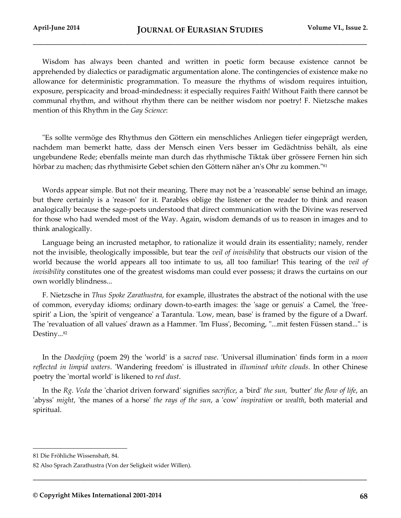Wisdom has always been chanted and written in poetic form because existence cannot be apprehended by dialectics or paradigmatic argumentation alone. The contingencies of existence make no allowance for deterministic programmation. To measure the rhythms of wisdom requires intuition, exposure, perspicacity and broad-mindedness: it especially requires Faith! Without Faith there cannot be communal rhythm, and without rhythm there can be neither wisdom nor poetry! F. Nietzsche makes mention of this Rhythm in the *Gay Science*:

"Es sollte vermöge des Rhythmus den Göttern ein menschliches Anliegen tiefer eingeprägt werden, nachdem man bemerkt hatte, dass der Mensch einen Vers besser im Gedächtniss behält, als eine ungebundene Rede; ebenfalls meinte man durch das rhythmische Tiktak über grössere Fernen hin sich hörbar zu machen; das rhythmisirte Gebet schien den Göttern näher an's Ohr zu kommen."<sup>81</sup>

Words appear simple. But not their meaning. There may not be a 'reasonable' sense behind an image, but there certainly is a 'reason' for it. Parables oblige the listener or the reader to think and reason analogically because the sage-poets understood that direct communication with the Divine was reserved for those who had wended most of the Way. Again, wisdom demands of us to reason in images and to think analogically.

Language being an incrusted metaphor, to rationalize it would drain its essentiality; namely, render not the invisible, theologically impossible, but tear the *veil of invisibility* that obstructs our vision of the world because the world appears all too intimate to us, all too familiar! This tearing of the *veil of invisibility* constitutes one of the greatest wisdoms man could ever possess; it draws the curtains on our own worldly blindness...

F. Nietzsche in *Thus Spoke Zarathustra*, for example, illustrates the abstract of the notional with the use of common, everyday idioms; ordinary down-to-earth images: the 'sage or genuis' a Camel, the 'freespirit' a Lion, the 'spirit of vengeance' a Tarantula. 'Low, mean, base' is framed by the figure of a Dwarf. The 'revaluation of all values' drawn as a Hammer. 'Im Fluss', Becoming, "...mit festen Füssen stand..." is Destiny...<sup>82</sup>

In the *Daodejing* (poem 29) the 'world' is a *sacred vase*. 'Universal illumination' finds form in a *moon reflected in limpid waters*. 'Wandering freedom' is illustrated in *illumined white clouds*. In other Chinese poetry the 'mortal world' is likened to *red dust*.

In the *Rg. Veda* the 'chariot driven forward' signifies *sacrifice*, a 'bird' *the sun,* 'butter' *the flow of life*, an 'abyss' *might*, 'the manes of a horse' *the rays of the sun*, a 'cow' *inspiration* or *wealth*, both material and spiritual.

**\_\_\_\_\_\_\_\_\_\_\_\_\_\_\_\_\_\_\_\_\_\_\_\_\_\_\_\_\_\_\_\_\_\_\_\_\_\_\_\_\_\_\_\_\_\_\_\_\_\_\_\_\_\_\_\_\_\_\_\_\_\_\_\_\_\_\_\_\_\_\_\_\_\_\_\_\_\_\_\_\_\_\_\_\_**

<sup>81</sup> Die Fröhliche Wissenshaft, 84.

<sup>82</sup> Also Sprach Zarathustra (Von der Seligkeit wider Willen).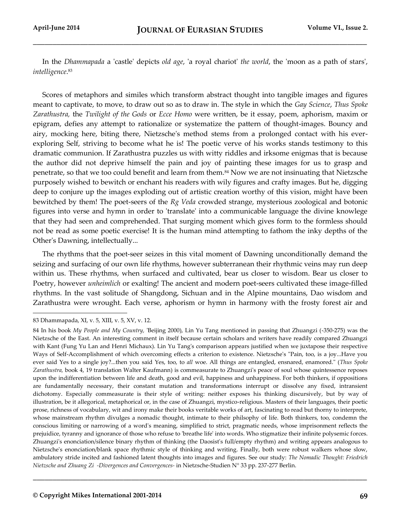In the *Dhammapada* a 'castle' depicts *old age*, 'a royal chariot' *the world*, the 'moon as a path of stars', *intelligence*. 83

Scores of metaphors and similes which transform abstract thought into tangible images and figures meant to captivate, to move, to draw out so as to draw in. The style in which the *Gay Science*, *Thus Spoke Zarathustra,* the *Twilight of the Gods* or *Ecce Homo* were written, be it essay, poem, aphorism, maxim or epigram, defies any attempt to rationalize or systematize the pattern of thought-images. Bouncy and airy, mocking here, biting there, Nietzsche's method stems from a prolonged contact with his everexploring Self, striving to become what he is! The poetic verve of his works stands testimony to this dramatic communion. If Zarathustra puzzles us with witty riddles and irksome enigmas that is because the author did not deprive himself the pain and joy of painting these images for us to grasp and penetrate, so that we too could benefit and learn from them.<sup>84</sup> Now we are not insinuating that Nietzsche purposely wished to bewitch or enchant his readers with wily figures and crafty images. But he, digging deep to conjure up the images exploding out of artistic creation worthy of this vision, might have been bewitched by them! The poet-seers of the *Rg Veda* crowded strange, mysterious zoological and botonic figures into verse and hymn in order to 'translate' into a communicable language the divine knowlege that they had seen and comprehended. That surging moment which gives form to the formless should not be read as some poetic exercise! It is the human mind attempting to fathom the inky depths of the Other's Dawning, intellectually...

The rhythms that the poet-seer seizes in this vital moment of Dawning unconditionally demand the seizing and surfacing of our own life rhythms, however subterranean their rhythmic veins may run deep within us. These rhythms, when surfaced and cultivated, bear us closer to wisdom. Bear us closer to Poetry, however *unheimlich* or exalting! The ancient and modern poet-seers cultivated these image-filled rhythms. In the vast solitude of Shangdong, Sichuan and in the Alpine mountains, Dao wisdom and Zarathustra were wrought. Each verse, aphorism or hymn in harmony with the frosty forest air and

83 Dhammapada, XI, v. 5, XIII, v. 5, XV, v. 12.

l

<sup>84</sup> In his book *My People and My Country,* 'Beijing 2000), Lin Yu Tang mentioned in passing that Zhuangzi (-350-275) was the Nietzsche of the East. An interesting comment in itself because certain scholars and writers have readily compared Zhuangzi with Kant (Fung Yu Lan and Henri Michaux). Lin Yu Tang's comparison appears justified when we juxtapose their respective Ways of Self-Accomplishment of which overcoming effects a criterion to existence. Nietzsche's "Pain, too, is a joy...Have you ever said Yes to a single joy?...then you said Yes, too, to *all* woe. All things are entangled, ensnared, enamored." (*Thus Spoke Zarathustra,* book 4, 19 translation Walter Kaufmann) is commeasurate to Zhuangzi's peace of soul whose quintessence reposes upon the indifferentiation between life and death, good and evil, happiness and unhappiness. For both thinkers, if oppositions are fundamentally necessary, their constant mutation and transformations interrupt or dissolve any fixed, intransient dichotomy. Especially commeasurate is their style of writing: neither exposes his thinking discursively, but by way of illustration, be it allegorical, metaphorical or, in the case of Zhuangzi, mystico-religious. Masters of their languages, their poetic prose, richness of vocabulary, wit and irony make their books veritable works of art, fascinating to read but thorny to interprete, whose mainstream rhythm divulges a nomadic thought, intimate to their philsophy of life. Both thinkers, too, condemn the conscious limiting or narrowing of a word's meaning, simplified to strict, pragmatic needs, whose imprisonment reflects the prejuidice, tyranny and ignorance of those who refuse to 'breathe life' into words. Who stigmatize their infinite polysemic forces. Zhuangzi's enonciation/silence binary rhythm of thinking (the Daosist's full/empty rhythm) and writing appears analogous to Nietzsche's enonciation/blank space rhythmic style of thinking and writing. Finally, both were robust walkers whose slow, ambulatory stride incited and fashioned latent thoughts into images and figures. See our study: *The Nomadic Thought: Friedrich Nietzsche and Zhuang Zi -Divergences and Convergences-* in Nietzsche-Studien N° 33 pp. 237-277 Berlin.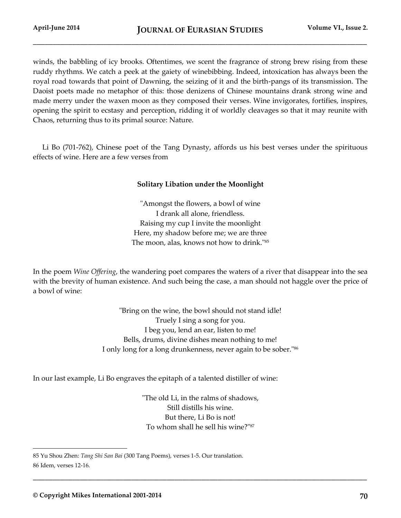winds, the babbling of icy brooks. Oftentimes, we scent the fragrance of strong brew rising from these ruddy rhythms. We catch a peek at the gaiety of winebibbing. Indeed, intoxication has always been the royal road towards that point of Dawning, the seizing of it and the birth-pangs of its transmission. The Daoist poets made no metaphor of this: those denizens of Chinese mountains drank strong wine and made merry under the waxen moon as they composed their verses. Wine invigorates, fortifies, inspires, opening the spirit to ecstasy and perception, ridding it of worldly cleavages so that it may reunite with Chaos, returning thus to its primal source: Nature.

Li Bo (701-762), Chinese poet of the Tang Dynasty, affords us his best verses under the spirituous effects of wine. Here are a few verses from

# **Solitary Libation under the Moonlight**

"Amongst the flowers, a bowl of wine I drank all alone, friendless. Raising my cup I invite the moonlight Here, my shadow before me; we are three The moon, alas, knows not how to drink."<sup>85</sup>

In the poem *Wine Offering*, the wandering poet compares the waters of a river that disappear into the sea with the brevity of human existence. And such being the case, a man should not haggle over the price of a bowl of wine:

> "Bring on the wine, the bowl should not stand idle! Truely I sing a song for you. I beg you, lend an ear, listen to me! Bells, drums, divine dishes mean nothing to me! I only long for a long drunkenness, never again to be sober."<sup>86</sup>

In our last example, Li Bo engraves the epitaph of a talented distiller of wine:

"The old Li, in the ralms of shadows, Still distills his wine. But there, Li Bo is not! To whom shall he sell his wine?"<sup>87</sup>

**\_\_\_\_\_\_\_\_\_\_\_\_\_\_\_\_\_\_\_\_\_\_\_\_\_\_\_\_\_\_\_\_\_\_\_\_\_\_\_\_\_\_\_\_\_\_\_\_\_\_\_\_\_\_\_\_\_\_\_\_\_\_\_\_\_\_\_\_\_\_\_\_\_\_\_\_\_\_\_\_\_\_\_\_\_**

<sup>85</sup> Yu Shou Zhen: *Tang Shi San Bai* (300 Tang Poems), verses 1-5. Our translation. 86 Idem, verses 12-16.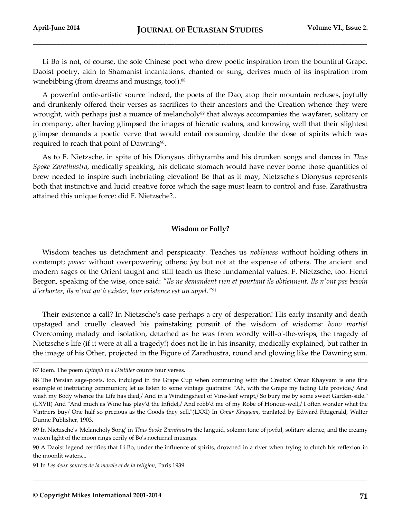Li Bo is not, of course, the sole Chinese poet who drew poetic inspiration from the bountiful Grape. Daoist poetry, akin to Shamanist incantations, chanted or sung, derives much of its inspiration from winebibbing (from dreams and musings, too!).<sup>88</sup>

A powerful ontic-artistic source indeed, the poets of the Dao, atop their mountain recluses, joyfully and drunkenly offered their verses as sacrifices to their ancestors and the Creation whence they were wrought, with perhaps just a nuance of melancholy<sup>89</sup> that always accompanies the wayfarer, solitary or in company, after having glimpsed the images of hieratic realms, and knowing well that their slightest glimpse demands a poetic verve that would entail consuming double the dose of spirits which was required to reach that point of Dawning<sup>90</sup>.

As to F. Nietzsche, in spite of his Dionysus dithyrambs and his drunken songs and dances in *Thus Spoke Zarathustra*, medically speaking, his delicate stomach would have never borne those quantities of brew needed to inspire such inebriating elevation! Be that as it may, Nietzsche's Dionysus represents both that instinctive and lucid creative force which the sage must learn to control and fuse. Zarathustra attained this unique force: did F. Nietzsche?..

# **Wisdom or Folly?**

Wisdom teaches us detachment and perspicacity. Teaches us *nobleness* without holding others in contempt; *power* without overpowering others; *joy* but not at the expense of others. The ancient and modern sages of the Orient taught and still teach us these fundamental values. F. Nietzsche, too. Henri Bergon, speaking of the wise, once said: *"Ils ne demandent rien et pourtant ils obtiennent. Ils n'ont pas besoin d'exhorter, ils n'ont qu'à exister, leur existence est un appel."*<sup>91</sup>

Their existence a call? In Nietzsche's case perhaps a cry of desperation! His early insanity and death upstaged and cruelly cleaved his painstaking pursuit of the wisdom of wisdoms: *bono mortis!* Overcoming malady and isolation, detached as he was from wordly will-o'-the-wisps, the tragedy of Nietzsche's life (if it were at all a tragedy!) does not lie in his insanity, medically explained, but rather in the image of his Other, projected in the Figure of Zarathustra, round and glowing like the Dawning sun.

l

<sup>87</sup> Idem. The poem *Epitaph to a Distiller* counts four verses.

<sup>88</sup> The Persian sage-poets, too, indulged in the Grape Cup when communing with the Creator! Omar Khayyam is one fine example of inebriating communion; let us listen to some vintage quatrains: "Ah, with the Grape my fading Life provide,/ And wash my Body whence the Life has died,/ And in a Windingsheet of Vine-leaf wrapt,/ So bury me by some sweet Garden-side." (LXVII) And "And much as Wine has play'd the Infidel,/ And robb'd me of my Robe of Honour-well,/ I often wonder what the Vintners buy/ One half so precious as the Goods they sell."(LXXI) In *Omar Khayyam*, tranlated by Edward Fitzgerald, Walter Dunne Publisher, 1903.

<sup>89</sup> In Nietzsche's 'Melancholy Song' in *Thus Spoke Zarathustra* the languid, solemn tone of joyful, solitary silence, and the creamy waxen light of the moon rings eerily of Bo's nocturnal musings.

<sup>90</sup> A Daoist legend certifies that Li Bo, under the influence of spirits, drowned in a river when trying to clutch his reflexion in the moonlit waters...

<sup>91</sup> In *Les deux sources de la morale et de la religion*, Paris 1939.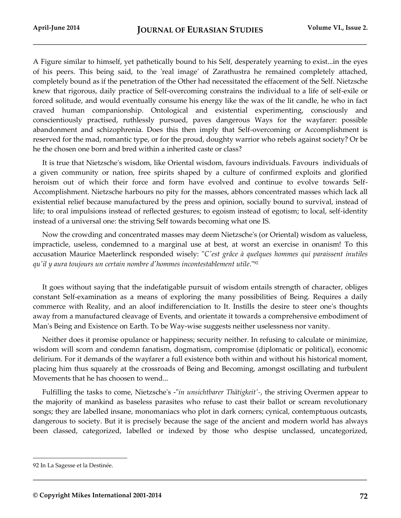A Figure similar to himself, yet pathetically bound to his Self, desperately yearning to exist...in the eyes of his peers. This being said, to the 'real image' of Zarathustra he remained completely attached, completely bound as if the penetration of the Other had necessitated the effacement of the Self. Nietzsche knew that rigorous, daily practice of Self-overcoming constrains the individual to a life of self-exile or forced solitude, and would eventually consume his energy like the wax of the lit candle, he who in fact craved human companionship. Ontological and existential experimenting, consciously and conscientiously practised, ruthlessly pursued, paves dangerous Ways for the wayfarer: possible abandonment and schizophrenia. Does this then imply that Self-overcoming or Accomplishment is reserved for the mad, romantic type, or for the proud, doughty warrior who rebels against society? Or be he the chosen one born and bred within a inherited caste or class?

It is true that Nietzsche's wisdom, like Oriental wisdom, favours individuals. Favours individuals of a given community or nation, free spirits shaped by a culture of confirmed exploits and glorified heroism out of which their force and form have evolved and continue to evolve towards Self-Accomplishment. Nietzsche harbours no pity for the masses, abhors concentrated masses which lack all existential relief because manufactured by the press and opinion, socially bound to survival, instead of life; to oral impulsions instead of reflected gestures; to egoism instead of egotism; to local, self-identity instead of a universal one: the striving Self towards becoming what one IS.

Now the crowding and concentrated masses may deem Nietzsche's (or Oriental) wisdom as valueless, impracticle, useless, condemned to a marginal use at best, at worst an exercise in onanism! To this accusation Maurice Maeterlinck responded wisely: "*C'est grâce à quelques hommes qui paraissent inutiles qu'il y aura toujours un certain nombre d'hommes incontestablement utile*."<sup>92</sup>

It goes without saying that the indefatigable pursuit of wisdom entails strength of character, obliges constant Self-examination as a means of exploring the many possibilities of Being. Requires a daily commerce with Reality, and an aloof indifferenciation to It. Instills the desire to steer one's thoughts away from a manufactured cleavage of Events, and orientate it towards a comprehensive embodiment of Man's Being and Existence on Earth. To be Way-wise suggests neither uselessness nor vanity.

Neither does it promise opulance or happiness; security neither. In refusing to calculate or minimize, wisdom will scorn and condemn fanatism, dogmatism, compromise (diplomatic or political), economic delirium. For it demands of the wayfarer a full existence both within and without his historical moment, placing him thus squarely at the crossroads of Being and Becoming, amongst oscillating and turbulent Movements that he has choosen to wend...

Fulfilling the tasks to come, Nietzsche's -"*in unsichtbarer Thätigkeit'-*, the striving Overmen appear to the majority of mankind as baseless parasites who refuse to cast their ballot or scream revolutionary songs; they are labelled insane, monomaniacs who plot in dark corners; cynical, contemptuous outcasts, dangerous to society. But it is precisely because the sage of the ancient and modern world has always been classed, categorized, labelled or indexed by those who despise unclassed, uncategorized,

**\_\_\_\_\_\_\_\_\_\_\_\_\_\_\_\_\_\_\_\_\_\_\_\_\_\_\_\_\_\_\_\_\_\_\_\_\_\_\_\_\_\_\_\_\_\_\_\_\_\_\_\_\_\_\_\_\_\_\_\_\_\_\_\_\_\_\_\_\_\_\_\_\_\_\_\_\_\_\_\_\_\_\_\_\_**

<sup>92</sup> In La Sagesse et la Destinée.